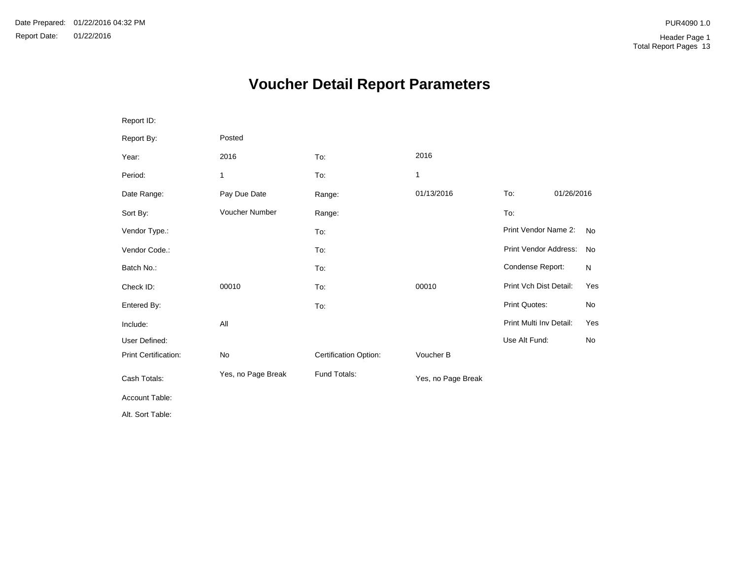# **Voucher Detail Report Parameters**

| Report ID:                  |                    |                       |                    |                         |            |           |
|-----------------------------|--------------------|-----------------------|--------------------|-------------------------|------------|-----------|
| Report By:                  | Posted             |                       |                    |                         |            |           |
| Year:                       | 2016               | To:                   | 2016               |                         |            |           |
| Period:                     | 1                  | To:                   | 1                  |                         |            |           |
| Date Range:                 | Pay Due Date       | Range:                | 01/13/2016         | To:                     | 01/26/2016 |           |
| Sort By:                    | Voucher Number     | Range:                |                    | To:                     |            |           |
| Vendor Type.:               |                    | To:                   |                    | Print Vendor Name 2:    |            | <b>No</b> |
| Vendor Code.:               |                    | To:                   |                    | Print Vendor Address:   |            | No        |
| Batch No.:                  |                    | To:                   |                    | Condense Report:        |            | N         |
| Check ID:                   | 00010              | To:                   | 00010              | Print Vch Dist Detail:  |            | Yes       |
| Entered By:                 |                    | To:                   |                    | Print Quotes:           |            | No        |
| Include:                    | All                |                       |                    | Print Multi Inv Detail: |            | Yes       |
| User Defined:               |                    |                       |                    | Use Alt Fund:           |            | No        |
| <b>Print Certification:</b> | No                 | Certification Option: | Voucher B          |                         |            |           |
| Cash Totals:                | Yes, no Page Break | Fund Totals:          | Yes, no Page Break |                         |            |           |
| Account Table:              |                    |                       |                    |                         |            |           |
| Alt. Sort Table:            |                    |                       |                    |                         |            |           |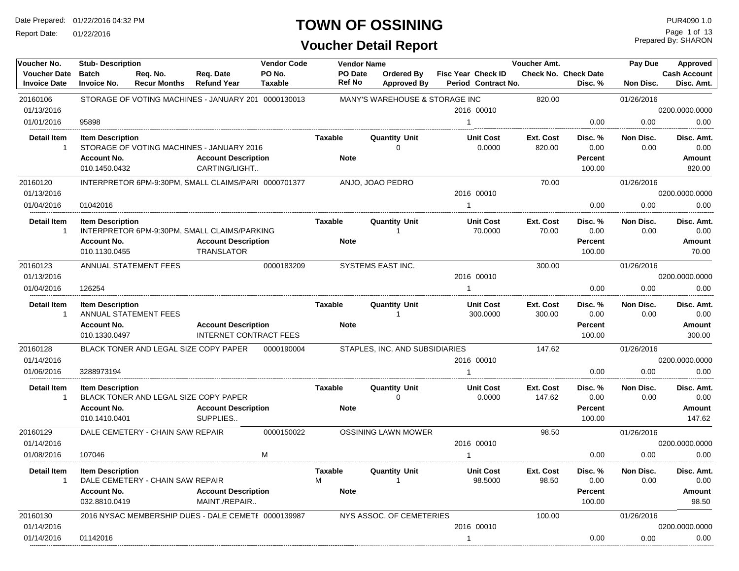Report Date: 01/22/2016

## **TOWN OF OSSINING**

| Voucher No.                                | <b>Stub-Description</b>                       |                                  |                                                                         | <b>Vendor Code</b> | <b>Vendor Name</b>       |                                  |                                                  | Voucher Amt.        |                                        | Pay Due           | Approved                          |
|--------------------------------------------|-----------------------------------------------|----------------------------------|-------------------------------------------------------------------------|--------------------|--------------------------|----------------------------------|--------------------------------------------------|---------------------|----------------------------------------|-------------------|-----------------------------------|
| <b>Voucher Date</b><br><b>Invoice Date</b> | <b>Batch</b><br><b>Invoice No.</b>            | Req. No.<br><b>Recur Months</b>  | Req. Date<br><b>Refund Year</b>                                         | PO No.<br>Taxable  | PO Date<br><b>Ref No</b> | Ordered By<br><b>Approved By</b> | <b>Fisc Year Check ID</b><br>Period Contract No. |                     | <b>Check No. Check Date</b><br>Disc. % | Non Disc.         | <b>Cash Account</b><br>Disc. Amt. |
| 20160106                                   |                                               |                                  | STORAGE OF VOTING MACHINES - JANUARY 201 0000130013                     |                    |                          | MANY'S WAREHOUSE & STORAGE INC   |                                                  | 820.00              |                                        | 01/26/2016        |                                   |
| 01/13/2016                                 |                                               |                                  |                                                                         |                    |                          |                                  | 2016 00010                                       |                     |                                        |                   | 0200.0000.0000                    |
| 01/01/2016                                 | 95898                                         |                                  |                                                                         |                    |                          |                                  | $\mathbf{1}$                                     |                     | 0.00                                   | 0.00              | 0.00                              |
| <b>Detail Item</b><br>$\overline{1}$       | <b>Item Description</b><br><b>Account No.</b> |                                  | STORAGE OF VOTING MACHINES - JANUARY 2016<br><b>Account Description</b> |                    | Taxable<br><b>Note</b>   | <b>Quantity Unit</b><br>0        | <b>Unit Cost</b><br>0.0000                       | Ext. Cost<br>820.00 | Disc. %<br>0.00<br>Percent             | Non Disc.<br>0.00 | Disc. Amt.<br>0.00<br>Amount      |
|                                            | 010.1450.0432                                 |                                  | CARTING/LIGHT                                                           |                    |                          |                                  |                                                  |                     | 100.00                                 |                   | 820.00                            |
| 20160120                                   |                                               |                                  | INTERPRETOR 6PM-9:30PM, SMALL CLAIMS/PARI 0000701377                    |                    |                          | ANJO, JOAO PEDRO                 |                                                  | 70.00               |                                        | 01/26/2016        |                                   |
| 01/13/2016                                 |                                               |                                  |                                                                         |                    |                          |                                  | 2016 00010                                       |                     |                                        |                   | 0200.0000.0000                    |
| 01/04/2016                                 | 01042016                                      |                                  |                                                                         |                    |                          |                                  | 1                                                |                     | 0.00                                   | 0.00              | 0.00                              |
| <b>Detail Item</b><br>$\mathbf{1}$         | <b>Item Description</b>                       |                                  | INTERPRETOR 6PM-9:30PM, SMALL CLAIMS/PARKING                            |                    | Taxable                  | <b>Quantity Unit</b><br>-1       | <b>Unit Cost</b><br>70.0000                      | Ext. Cost<br>70.00  | Disc. %<br>0.00                        | Non Disc.<br>0.00 | Disc. Amt.<br>0.00                |
|                                            | <b>Account No.</b><br>010.1130.0455           |                                  | <b>Account Description</b><br>TRANSLATOR                                |                    | <b>Note</b>              |                                  |                                                  |                     | Percent<br>100.00                      |                   | Amount<br>70.00                   |
| 20160123                                   |                                               | ANNUAL STATEMENT FEES            |                                                                         | 0000183209         |                          | SYSTEMS EAST INC.                |                                                  | 300.00              |                                        | 01/26/2016        |                                   |
| 01/13/2016                                 |                                               |                                  |                                                                         |                    |                          |                                  | 2016 00010                                       |                     |                                        |                   | 0200.0000.0000                    |
| 01/04/2016                                 | 126254                                        |                                  |                                                                         |                    |                          |                                  |                                                  |                     | 0.00                                   | 0.00              | 0.00                              |
| <b>Detail Item</b><br>$\mathbf{1}$         | <b>Item Description</b>                       | ANNUAL STATEMENT FEES            |                                                                         |                    | <b>Taxable</b>           | <b>Quantity Unit</b><br>-1       | <b>Unit Cost</b><br>300.0000                     | Ext. Cost<br>300.00 | Disc. %<br>0.00                        | Non Disc.<br>0.00 | Disc. Amt.<br>0.00                |
|                                            | <b>Account No.</b><br>010.1330.0497           |                                  | <b>Account Description</b><br>INTERNET CONTRACT FEES                    |                    | <b>Note</b>              |                                  |                                                  |                     | Percent<br>100.00                      |                   | Amount<br>300.00                  |
| 20160128                                   |                                               |                                  | BLACK TONER AND LEGAL SIZE COPY PAPER                                   | 0000190004         |                          | STAPLES, INC. AND SUBSIDIARIES   |                                                  | 147.62              |                                        | 01/26/2016        |                                   |
| 01/14/2016                                 |                                               |                                  |                                                                         |                    |                          |                                  | 2016 00010                                       |                     |                                        |                   | 0200.0000.0000                    |
| 01/06/2016                                 | 3288973194                                    |                                  |                                                                         |                    |                          |                                  |                                                  |                     | 0.00                                   | 0.00              | 0.00                              |
| <b>Detail Item</b>                         | <b>Item Description</b>                       |                                  |                                                                         |                    | Taxable                  | <b>Quantity Unit</b>             | <b>Unit Cost</b>                                 | Ext. Cost           | Disc. %                                | Non Disc.         | Disc. Amt.                        |
| $\mathbf{1}$                               |                                               |                                  | BLACK TONER AND LEGAL SIZE COPY PAPER                                   |                    |                          | $\Omega$                         | 0.0000                                           | 147.62              | 0.00                                   | 0.00              | 0.00                              |
|                                            | <b>Account No.</b>                            |                                  | <b>Account Description</b>                                              |                    | <b>Note</b>              |                                  |                                                  |                     | Percent                                |                   | Amount                            |
|                                            | 010.1410.0401                                 |                                  | SUPPLIES                                                                |                    |                          |                                  |                                                  |                     | 100.00                                 |                   | 147.62                            |
| 20160129                                   |                                               | DALE CEMETERY - CHAIN SAW REPAIR |                                                                         | 0000150022         |                          | <b>OSSINING LAWN MOWER</b>       |                                                  | 98.50               |                                        | 01/26/2016        |                                   |
| 01/14/2016                                 |                                               |                                  |                                                                         |                    |                          |                                  | 2016 00010                                       |                     |                                        |                   | 0200.0000.0000                    |
| 01/08/2016                                 | 107046                                        |                                  |                                                                         | M                  |                          |                                  |                                                  |                     | 0.00                                   | 0.00              | 0.00                              |
| Detail Item<br>$\mathbf{1}$                | <b>Item Description</b>                       | DALE CEMETERY - CHAIN SAW REPAIR |                                                                         |                    | Taxable<br>M             | <b>Quantity Unit</b><br>1        | <b>Unit Cost</b><br>98.5000                      | Ext. Cost<br>98.50  | Disc. %<br>0.00                        | Non Disc.<br>0.00 | Disc. Amt.<br>0.00                |
|                                            | <b>Account No.</b><br>032.8810.0419           |                                  | <b>Account Description</b><br>MAINT./REPAIR                             |                    | <b>Note</b>              |                                  |                                                  |                     | Percent<br>100.00                      |                   | Amount<br>98.50                   |
| 20160130                                   |                                               |                                  | 2016 NYSAC MEMBERSHIP DUES - DALE CEMETI 0000139987                     |                    |                          | NYS ASSOC. OF CEMETERIES         |                                                  | 100.00              |                                        | 01/26/2016        |                                   |
| 01/14/2016                                 |                                               |                                  |                                                                         |                    |                          |                                  | 2016 00010                                       |                     |                                        |                   | 0200.0000.0000                    |
| 01/14/2016                                 | 01142016                                      |                                  |                                                                         |                    |                          |                                  |                                                  |                     | 0.00                                   | 0.00              | 0.00                              |
|                                            |                                               |                                  |                                                                         |                    |                          |                                  |                                                  |                     |                                        |                   |                                   |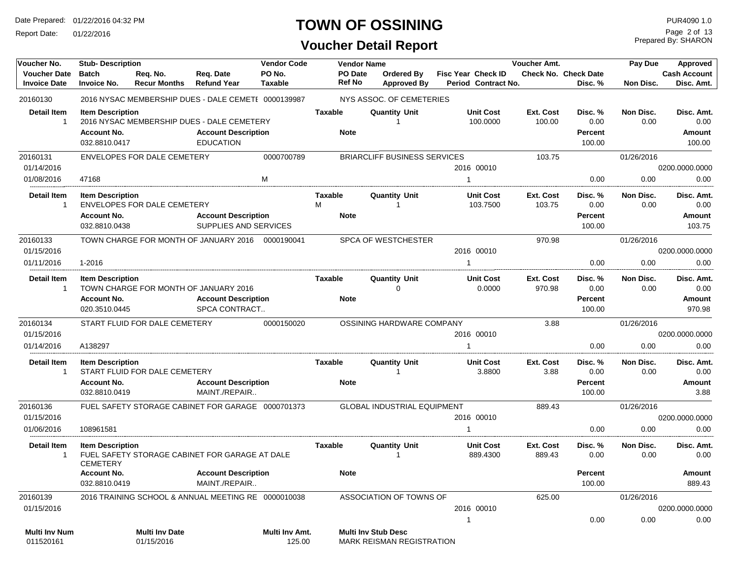Report Date: 01/22/2016

#### **TOWN OF OSSINING** PURA090 1.0

#### **Voucher Detail Report**

Prepared By: SHARON Page 2 of 13

| Voucher No.                                | <b>Stub-Description</b>                                        |                                     |                                                                                              | <b>Vendor Code</b>       |                                    | <b>Vendor Name</b> |                                                                |                                           | Voucher Amt.               |                                             | Pay Due           | Approved                               |
|--------------------------------------------|----------------------------------------------------------------|-------------------------------------|----------------------------------------------------------------------------------------------|--------------------------|------------------------------------|--------------------|----------------------------------------------------------------|-------------------------------------------|----------------------------|---------------------------------------------|-------------------|----------------------------------------|
| <b>Voucher Date</b><br><b>Invoice Date</b> | <b>Batch</b><br><b>Invoice No.</b>                             | Req. No.<br><b>Recur Months</b>     | Req. Date<br><b>Refund Year</b>                                                              | PO No.<br><b>Taxable</b> | <b>PO Date</b><br><b>Ref No</b>    |                    | Ordered By<br><b>Approved By</b>                               | Fisc Year Check ID<br>Period Contract No. |                            | Check No. Check Date<br>Disc. %             | Non Disc.         | <b>Cash Account</b><br>Disc. Amt.      |
| 20160130                                   |                                                                |                                     | 2016 NYSAC MEMBERSHIP DUES - DALE CEMETI 0000139987                                          |                          |                                    |                    | NYS ASSOC. OF CEMETERIES                                       |                                           |                            |                                             |                   |                                        |
| <b>Detail Item</b><br>$\mathbf 1$          | <b>Item Description</b><br><b>Account No.</b><br>032.8810.0417 |                                     | 2016 NYSAC MEMBERSHIP DUES - DALE CEMETERY<br><b>Account Description</b><br><b>EDUCATION</b> |                          | <b>Taxable</b><br><b>Note</b>      |                    | <b>Quantity Unit</b><br>$\mathbf{1}$                           | <b>Unit Cost</b><br>100.0000              | Ext. Cost<br>100.00        | Disc. %<br>0.00<br><b>Percent</b><br>100.00 | Non Disc.<br>0.00 | Disc. Amt.<br>0.00<br>Amount<br>100.00 |
| 20160131                                   |                                                                | ENVELOPES FOR DALE CEMETERY         |                                                                                              | 0000700789               |                                    |                    | <b>BRIARCLIFF BUSINESS SERVICES</b>                            |                                           | 103.75                     |                                             | 01/26/2016        |                                        |
| 01/14/2016                                 |                                                                |                                     |                                                                                              |                          |                                    |                    |                                                                | 2016 00010                                |                            |                                             |                   | 0200.0000.0000                         |
| 01/08/2016                                 | 47168                                                          |                                     |                                                                                              | M                        |                                    |                    |                                                                | $\mathbf{1}$                              |                            | 0.00                                        | 0.00              | 0.00                                   |
| <b>Detail Item</b><br>$\mathbf{1}$         | <b>Item Description</b><br><b>Account No.</b>                  | ENVELOPES FOR DALE CEMETERY         | <b>Account Description</b>                                                                   |                          | <b>Taxable</b><br>M<br><b>Note</b> |                    | <b>Quantity Unit</b><br>$\mathbf{1}$                           | <b>Unit Cost</b><br>103.7500              | <b>Ext. Cost</b><br>103.75 | Disc. %<br>0.00<br>Percent                  | Non Disc.<br>0.00 | Disc. Amt.<br>0.00<br>Amount           |
|                                            | 032.8810.0438                                                  |                                     | SUPPLIES AND SERVICES                                                                        |                          |                                    |                    |                                                                |                                           |                            | 100.00                                      |                   | 103.75                                 |
| 20160133                                   |                                                                |                                     | TOWN CHARGE FOR MONTH OF JANUARY 2016 0000190041                                             |                          |                                    |                    | SPCA OF WESTCHESTER                                            |                                           | 970.98                     |                                             | 01/26/2016        |                                        |
| 01/15/2016                                 |                                                                |                                     |                                                                                              |                          |                                    |                    |                                                                | 2016 00010                                |                            |                                             |                   | 0200.0000.0000                         |
| 01/11/2016                                 | 1-2016                                                         |                                     |                                                                                              |                          |                                    |                    |                                                                | $\mathbf{1}$                              |                            | 0.00                                        | 0.00              | 0.00                                   |
| <b>Detail Item</b><br>1                    | <b>Item Description</b><br><b>Account No.</b><br>020.3510.0445 |                                     | TOWN CHARGE FOR MONTH OF JANUARY 2016<br><b>Account Description</b><br>SPCA CONTRACT         |                          | Taxable<br><b>Note</b>             |                    | <b>Quantity Unit</b><br>0                                      | <b>Unit Cost</b><br>0.0000                | Ext. Cost<br>970.98        | Disc. %<br>0.00<br>Percent<br>100.00        | Non Disc.<br>0.00 | Disc. Amt.<br>0.00<br>Amount<br>970.98 |
| 20160134                                   |                                                                | START FLUID FOR DALE CEMETERY       |                                                                                              | 0000150020               |                                    |                    | OSSINING HARDWARE COMPANY                                      |                                           | 3.88                       |                                             | 01/26/2016        |                                        |
| 01/15/2016                                 |                                                                |                                     |                                                                                              |                          |                                    |                    |                                                                | 2016 00010                                |                            |                                             |                   | 0200.0000.0000                         |
| 01/14/2016                                 | A138297                                                        |                                     |                                                                                              |                          |                                    |                    |                                                                | 1                                         |                            | 0.00                                        | 0.00              | 0.00                                   |
| <b>Detail Item</b><br>$\mathbf{1}$         | <b>Item Description</b><br><b>Account No.</b>                  | START FLUID FOR DALE CEMETERY       | <b>Account Description</b>                                                                   |                          | Taxable<br><b>Note</b>             |                    | <b>Quantity Unit</b><br>$\mathbf 1$                            | <b>Unit Cost</b><br>3.8800                | Ext. Cost<br>3.88          | Disc. %<br>0.00<br><b>Percent</b>           | Non Disc.<br>0.00 | Disc. Amt.<br>0.00<br>Amount           |
|                                            | 032.8810.0419                                                  |                                     | MAINT./REPAIR                                                                                |                          |                                    |                    |                                                                |                                           |                            | 100.00                                      |                   | 3.88                                   |
| 20160136                                   |                                                                |                                     | FUEL SAFETY STORAGE CABINET FOR GARAGE 0000701373                                            |                          |                                    |                    | <b>GLOBAL INDUSTRIAL EQUIPMENT</b>                             |                                           | 889.43                     |                                             | 01/26/2016        |                                        |
| 01/15/2016                                 |                                                                |                                     |                                                                                              |                          |                                    |                    |                                                                | 2016 00010                                |                            |                                             |                   | 0200.0000.0000                         |
| 01/06/2016                                 | 108961581                                                      |                                     |                                                                                              |                          |                                    |                    |                                                                | 1                                         |                            | 0.00                                        | 0.00              | 0.00                                   |
| <b>Detail Item</b><br>$\mathbf 1$          | <b>Item Description</b><br><b>CEMETERY</b>                     |                                     | FUEL SAFETY STORAGE CABINET FOR GARAGE AT DALE                                               |                          | Taxable                            |                    | <b>Quantity Unit</b><br>$\overline{1}$                         | <b>Unit Cost</b><br>889.4300              | <b>Ext. Cost</b><br>889.43 | Disc. %<br>0.00                             | Non Disc.<br>0.00 | Disc. Amt.<br>0.00                     |
|                                            | <b>Account No.</b><br>032.8810.0419                            |                                     | <b>Account Description</b><br>MAINT./REPAIR                                                  |                          | <b>Note</b>                        |                    |                                                                |                                           |                            | <b>Percent</b><br>100.00                    |                   | Amount<br>889.43                       |
| 20160139                                   |                                                                |                                     | 2016 TRAINING SCHOOL & ANNUAL MEETING RE 0000010038                                          |                          |                                    |                    | ASSOCIATION OF TOWNS OF                                        |                                           | 625.00                     |                                             | 01/26/2016        |                                        |
| 01/15/2016                                 |                                                                |                                     |                                                                                              |                          |                                    |                    |                                                                | 2016 00010                                |                            |                                             |                   | 0200.0000.0000                         |
| <b>Multi Inv Num</b><br>011520161          |                                                                | <b>Multi Inv Date</b><br>01/15/2016 |                                                                                              | Multi Inv Amt.<br>125.00 |                                    |                    | <b>Multi Inv Stub Desc</b><br><b>MARK REISMAN REGISTRATION</b> | 1                                         |                            | 0.00                                        | 0.00              | 0.00                                   |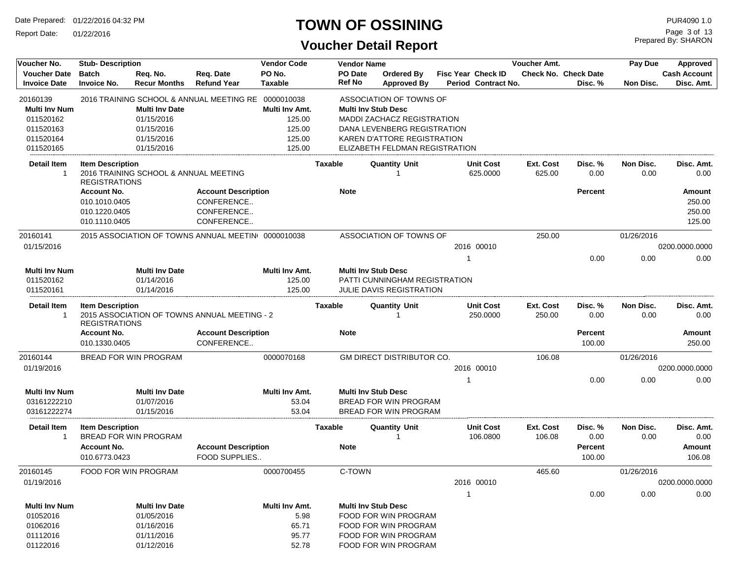Report Date: 01/22/2016

## **TOWN OF OSSINING**

| Voucher No.                                | <b>Stub- Description</b>                                |                                       |                                                     | <b>Vendor Code</b>       |                | <b>Vendor Name</b> |                                                                    |    |                                                  | Voucher Amt.               |                                        | Pay Due           | Approved                          |
|--------------------------------------------|---------------------------------------------------------|---------------------------------------|-----------------------------------------------------|--------------------------|----------------|--------------------|--------------------------------------------------------------------|----|--------------------------------------------------|----------------------------|----------------------------------------|-------------------|-----------------------------------|
| <b>Voucher Date</b><br><b>Invoice Date</b> | <b>Batch</b><br><b>Invoice No.</b>                      | Req. No.<br><b>Recur Months</b>       | Req. Date<br><b>Refund Year</b>                     | PO No.<br><b>Taxable</b> |                | PO Date<br>Ref No  | <b>Ordered By</b><br><b>Approved By</b>                            |    | <b>Fisc Year Check ID</b><br>Period Contract No. |                            | <b>Check No. Check Date</b><br>Disc. % | Non Disc.         | <b>Cash Account</b><br>Disc. Amt. |
| 20160139                                   |                                                         |                                       | 2016 TRAINING SCHOOL & ANNUAL MEETING RE 0000010038 |                          |                |                    | ASSOCIATION OF TOWNS OF                                            |    |                                                  |                            |                                        |                   |                                   |
| <b>Multi Inv Num</b>                       |                                                         | <b>Multi Inv Date</b>                 |                                                     | Multi Inv Amt.           |                |                    | <b>Multi Inv Stub Desc</b>                                         |    |                                                  |                            |                                        |                   |                                   |
| 011520162                                  |                                                         | 01/15/2016                            |                                                     | 125.00                   |                |                    | <b>MADDI ZACHACZ REGISTRATION</b>                                  |    |                                                  |                            |                                        |                   |                                   |
| 011520163<br>011520164                     |                                                         | 01/15/2016<br>01/15/2016              |                                                     | 125.00<br>125.00         |                |                    | DANA LEVENBERG REGISTRATION<br><b>KAREN D'ATTORE REGISTRATION</b>  |    |                                                  |                            |                                        |                   |                                   |
| 011520165                                  |                                                         | 01/15/2016                            |                                                     | 125.00                   |                |                    | ELIZABETH FELDMAN REGISTRATION                                     |    |                                                  |                            |                                        |                   |                                   |
| <b>Detail Item</b><br>$\mathbf 1$          | <b>Item Description</b><br><b>REGISTRATIONS</b>         | 2016 TRAINING SCHOOL & ANNUAL MEETING |                                                     |                          | <b>Taxable</b> |                    | <b>Quantity Unit</b>                                               |    | <b>Unit Cost</b><br>625.0000                     | <b>Ext. Cost</b><br>625.00 | Disc. %<br>0.00                        | Non Disc.<br>0.00 | Disc. Amt.<br>0.00                |
|                                            | <b>Account No.</b>                                      |                                       | <b>Account Description</b>                          |                          |                | <b>Note</b>        |                                                                    |    |                                                  |                            | <b>Percent</b>                         |                   | Amount                            |
|                                            | 010.1010.0405                                           |                                       | CONFERENCE                                          |                          |                |                    |                                                                    |    |                                                  |                            |                                        |                   | 250.00                            |
|                                            | 010.1220.0405                                           |                                       | CONFERENCE                                          |                          |                |                    |                                                                    |    |                                                  |                            |                                        |                   | 250.00                            |
|                                            | 010.1110.0405                                           |                                       | CONFERENCE                                          |                          |                |                    |                                                                    |    |                                                  |                            |                                        |                   | 125.00                            |
| 20160141                                   |                                                         |                                       | 2015 ASSOCIATION OF TOWNS ANNUAL MEETIN 0000010038  |                          |                |                    | ASSOCIATION OF TOWNS OF                                            |    |                                                  | 250.00                     |                                        | 01/26/2016        |                                   |
| 01/15/2016                                 |                                                         |                                       |                                                     |                          |                |                    |                                                                    |    | 2016 00010                                       |                            |                                        |                   | 0200.0000.0000                    |
|                                            |                                                         |                                       |                                                     |                          |                |                    |                                                                    | 1  |                                                  |                            | 0.00                                   | 0.00              | 0.00                              |
| <b>Multi Inv Num</b><br>011520162          |                                                         | <b>Multi Inv Date</b><br>01/14/2016   |                                                     | Multi Inv Amt.<br>125.00 |                |                    | <b>Multi Inv Stub Desc</b><br><b>PATTI CUNNINGHAM REGISTRATION</b> |    |                                                  |                            |                                        |                   |                                   |
| 011520161                                  |                                                         | 01/14/2016                            |                                                     | 125.00                   |                |                    | JULIE DAVIS REGISTRATION                                           |    |                                                  |                            |                                        |                   |                                   |
| Detail Item<br>1                           | <b>Item Description</b><br><b>REGISTRATIONS</b>         |                                       | 2015 ASSOCIATION OF TOWNS ANNUAL MEETING - 2        |                          | <b>Taxable</b> |                    | <b>Quantity Unit</b>                                               |    | <b>Unit Cost</b><br>250.0000                     | Ext. Cost<br>250.00        | Disc. %<br>0.00                        | Non Disc.<br>0.00 | Disc. Amt.<br>0.00                |
|                                            | <b>Account No.</b><br>010.1330.0405                     |                                       | <b>Account Description</b><br>CONFERENCE            |                          |                | <b>Note</b>        |                                                                    |    |                                                  |                            | <b>Percent</b><br>100.00               |                   | Amount<br>250.00                  |
| 20160144                                   | BREAD FOR WIN PROGRAM                                   |                                       |                                                     | 0000070168               |                |                    | <b>GM DIRECT DISTRIBUTOR CO.</b>                                   |    |                                                  | 106.08                     |                                        | 01/26/2016        |                                   |
| 01/19/2016                                 |                                                         |                                       |                                                     |                          |                |                    |                                                                    |    | 2016 00010                                       |                            |                                        |                   | 0200.0000.0000                    |
|                                            |                                                         |                                       |                                                     |                          |                |                    |                                                                    | -1 |                                                  |                            | 0.00                                   | 0.00              | 0.00                              |
| <b>Multi Inv Num</b>                       |                                                         | <b>Multi Inv Date</b>                 |                                                     | Multi Inv Amt.           |                |                    | <b>Multi Inv Stub Desc</b>                                         |    |                                                  |                            |                                        |                   |                                   |
| 03161222210                                |                                                         | 01/07/2016                            |                                                     | 53.04                    |                |                    | BREAD FOR WIN PROGRAM                                              |    |                                                  |                            |                                        |                   |                                   |
| 03161222274                                |                                                         | 01/15/2016                            |                                                     | 53.04                    |                |                    | BREAD FOR WIN PROGRAM                                              |    |                                                  |                            |                                        |                   |                                   |
| <b>Detail Item</b><br>1                    | <b>Item Description</b><br><b>BREAD FOR WIN PROGRAM</b> |                                       |                                                     |                          | <b>Taxable</b> |                    | <b>Quantity Unit</b><br>1                                          |    | <b>Unit Cost</b><br>106.0800                     | Ext. Cost<br>106.08        | Disc. %<br>0.00                        | Non Disc.<br>0.00 | Disc. Amt.<br>0.00                |
|                                            | <b>Account No.</b><br>010.6773.0423                     |                                       | <b>Account Description</b><br>FOOD SUPPLIES         |                          |                | <b>Note</b>        |                                                                    |    |                                                  |                            | <b>Percent</b><br>100.00               |                   | Amount<br>106.08                  |
| 20160145                                   | FOOD FOR WIN PROGRAM                                    |                                       |                                                     | 0000700455               |                | C-TOWN             |                                                                    |    |                                                  | 465.60                     |                                        | 01/26/2016        |                                   |
| 01/19/2016                                 |                                                         |                                       |                                                     |                          |                |                    |                                                                    |    | 2016 00010                                       |                            |                                        |                   | 0200.0000.0000                    |
|                                            |                                                         |                                       |                                                     |                          |                |                    |                                                                    | 1  |                                                  |                            | 0.00                                   | 0.00              | 0.00                              |
| <b>Multi Inv Num</b>                       |                                                         | <b>Multi Inv Date</b>                 |                                                     | Multi Inv Amt.           |                |                    | <b>Multi Inv Stub Desc</b>                                         |    |                                                  |                            |                                        |                   |                                   |
| 01052016                                   |                                                         | 01/05/2016                            |                                                     | 5.98                     |                |                    | FOOD FOR WIN PROGRAM                                               |    |                                                  |                            |                                        |                   |                                   |
| 01062016                                   |                                                         | 01/16/2016                            |                                                     | 65.71                    |                |                    | FOOD FOR WIN PROGRAM                                               |    |                                                  |                            |                                        |                   |                                   |
| 01112016                                   |                                                         | 01/11/2016                            |                                                     | 95.77                    |                |                    | FOOD FOR WIN PROGRAM                                               |    |                                                  |                            |                                        |                   |                                   |
| 01122016                                   |                                                         | 01/12/2016                            |                                                     | 52.78                    |                |                    | FOOD FOR WIN PROGRAM                                               |    |                                                  |                            |                                        |                   |                                   |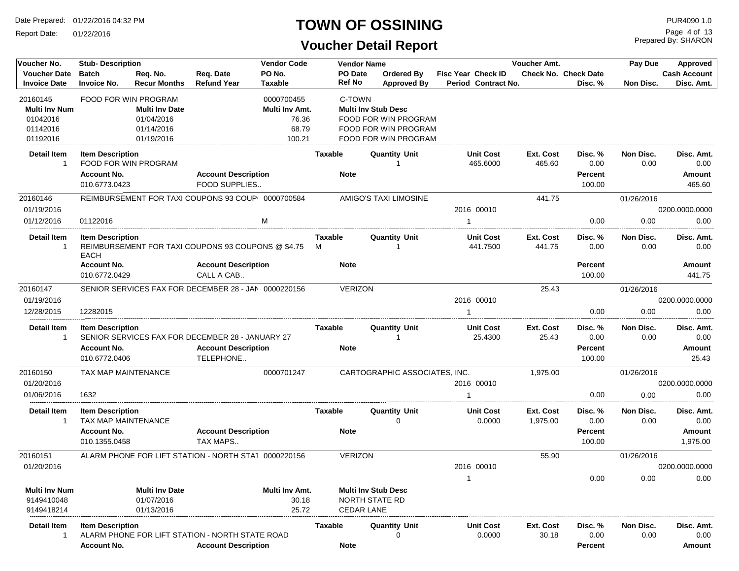Report Date: 01/22/2016

#### **TOWN OF OSSINING**

## **Voucher Detail Report**

Prepared By: SHARON Page 4 of 13

| Voucher No.                       | <b>Stub-Description</b> |                       |                                                      | <b>Vendor Code</b> |                | <b>Vendor Name</b>            |    |                            | Voucher Amt.       |                             | Pay Due           | Approved            |
|-----------------------------------|-------------------------|-----------------------|------------------------------------------------------|--------------------|----------------|-------------------------------|----|----------------------------|--------------------|-----------------------------|-------------------|---------------------|
| <b>Voucher Date</b>               | <b>Batch</b>            | Reg. No.              | Req. Date                                            | PO No.             | PO Date        | <b>Ordered By</b>             |    | Fisc Year Check ID         |                    | <b>Check No. Check Date</b> |                   | <b>Cash Account</b> |
| <b>Invoice Date</b>               | <b>Invoice No.</b>      | <b>Recur Months</b>   | <b>Refund Year</b>                                   | <b>Taxable</b>     | <b>Ref No</b>  | <b>Approved By</b>            |    | Period Contract No.        |                    | Disc. %                     | Non Disc.         | Disc. Amt.          |
| 20160145                          |                         | FOOD FOR WIN PROGRAM  |                                                      | 0000700455         | C-TOWN         |                               |    |                            |                    |                             |                   |                     |
| <b>Multi Inv Num</b>              |                         | <b>Multi Inv Date</b> |                                                      | Multi Inv Amt.     |                | <b>Multi Inv Stub Desc</b>    |    |                            |                    |                             |                   |                     |
| 01042016                          |                         | 01/04/2016            |                                                      | 76.36              |                | FOOD FOR WIN PROGRAM          |    |                            |                    |                             |                   |                     |
| 01142016                          |                         | 01/14/2016            |                                                      | 68.79              |                | FOOD FOR WIN PROGRAM          |    |                            |                    |                             |                   |                     |
| 01192016                          |                         | 01/19/2016            |                                                      | 100.21             |                | FOOD FOR WIN PROGRAM          |    |                            |                    |                             |                   |                     |
| Detail Item                       | <b>Item Description</b> |                       |                                                      |                    | Taxable        | <b>Quantity Unit</b>          |    | <b>Unit Cost</b>           | Ext. Cost          | Disc. %                     | Non Disc.         | Disc. Amt.          |
| -1                                |                         | FOOD FOR WIN PROGRAM  |                                                      |                    |                | -1                            |    | 465.6000                   | 465.60             | 0.00                        | 0.00              | 0.00                |
|                                   | <b>Account No.</b>      |                       | <b>Account Description</b>                           |                    | <b>Note</b>    |                               |    |                            |                    | Percent                     |                   | Amount              |
|                                   | 010.6773.0423           |                       | FOOD SUPPLIES                                        |                    |                |                               |    |                            |                    | 100.00                      |                   | 465.60              |
| 20160146                          |                         |                       | REIMBURSEMENT FOR TAXI COUPONS 93 COUP 0000700584    |                    |                | AMIGO'S TAXI LIMOSINE         |    |                            | 441.75             |                             | 01/26/2016        |                     |
| 01/19/2016                        |                         |                       |                                                      |                    |                |                               |    | 2016 00010                 |                    |                             |                   | 0200.0000.0000      |
| 01/12/2016                        | 01122016                |                       |                                                      | M                  |                |                               | -1 |                            |                    | 0.00                        | 0.00              | 0.00                |
| <b>Detail Item</b>                | <b>Item Description</b> |                       |                                                      |                    | Taxable        | Quantity Unit                 |    | <b>Unit Cost</b>           | Ext. Cost          | Disc. %                     | Non Disc.         | Disc. Amt.          |
| -1                                |                         |                       | REIMBURSEMENT FOR TAXI COUPONS 93 COUPONS @ \$4.75   |                    | м              |                               |    | 441.7500                   | 441.75             | 0.00                        | 0.00              | 0.00                |
|                                   | EACH                    |                       |                                                      |                    |                |                               |    |                            |                    |                             |                   |                     |
|                                   | <b>Account No.</b>      |                       | <b>Account Description</b>                           |                    | <b>Note</b>    |                               |    |                            |                    | Percent                     |                   | Amount              |
|                                   | 010.6772.0429           |                       | CALL A CAB                                           |                    |                |                               |    |                            |                    | 100.00                      |                   | 441.75              |
| 20160147                          |                         |                       | SENIOR SERVICES FAX FOR DECEMBER 28 - JAN 0000220156 |                    | <b>VERIZON</b> |                               |    |                            | 25.43              |                             | 01/26/2016        |                     |
| 01/19/2016                        |                         |                       |                                                      |                    |                |                               |    | 2016 00010                 |                    |                             |                   | 0200.0000.0000      |
| 12/28/2015                        | 12282015                |                       |                                                      |                    |                |                               | -1 |                            |                    | 0.00                        | 0.00              | 0.00                |
| <b>Detail Item</b>                | <b>Item Description</b> |                       |                                                      |                    | Taxable        | <b>Quantity Unit</b>          |    | <b>Unit Cost</b>           | Ext. Cost          | Disc. %                     | Non Disc.         | Disc. Amt.          |
| -1                                |                         |                       | SENIOR SERVICES FAX FOR DECEMBER 28 - JANUARY 27     |                    |                | 1                             |    | 25.4300                    | 25.43              | 0.00                        | 0.00              | 0.00                |
|                                   | <b>Account No.</b>      |                       | <b>Account Description</b>                           |                    | <b>Note</b>    |                               |    |                            |                    | <b>Percent</b>              |                   | <b>Amount</b>       |
|                                   | 010.6772.0406           |                       | TELEPHONE                                            |                    |                |                               |    |                            |                    | 100.00                      |                   | 25.43               |
| 20160150                          | TAX MAP MAINTENANCE     |                       |                                                      | 0000701247         |                | CARTOGRAPHIC ASSOCIATES, INC. |    |                            | 1,975.00           |                             | 01/26/2016        |                     |
| 01/20/2016                        |                         |                       |                                                      |                    |                |                               |    | 2016 00010                 |                    |                             |                   | 0200.0000.0000      |
| 01/06/2016                        | 1632                    |                       |                                                      |                    |                |                               |    |                            |                    | 0.00                        | 0.00              | 0.00                |
| <b>Detail Item</b>                | <b>Item Description</b> |                       |                                                      |                    | Taxable        | <b>Quantity Unit</b>          |    | <b>Unit Cost</b>           | Ext. Cost          | Disc. %                     | Non Disc.         | Disc. Amt.          |
| -1                                | TAX MAP MAINTENANCE     |                       |                                                      |                    |                | 0                             |    | 0.0000                     | 1,975.00           | 0.00                        | 0.00              | 0.00                |
|                                   | <b>Account No.</b>      |                       | <b>Account Description</b>                           |                    | <b>Note</b>    |                               |    |                            |                    | <b>Percent</b>              |                   | Amount              |
|                                   | 010.1355.0458           |                       | TAX MAPS                                             |                    |                |                               |    |                            |                    | 100.00                      |                   | 1,975.00            |
| 20160151                          |                         |                       | ALARM PHONE FOR LIFT STATION - NORTH STA1 0000220156 |                    | <b>VERIZON</b> |                               |    |                            | 55.90              |                             | 01/26/2016        |                     |
| 01/20/2016                        |                         |                       |                                                      |                    |                |                               |    | 2016 00010                 |                    |                             |                   | 0200.0000.0000      |
|                                   |                         |                       |                                                      |                    |                |                               |    |                            |                    | 0.00                        | 0.00              | 0.00                |
| <b>Multi Inv Num</b>              |                         | <b>Multi Inv Date</b> |                                                      | Multi Inv Amt.     |                | <b>Multi Inv Stub Desc</b>    |    |                            |                    |                             |                   |                     |
| 9149410048                        |                         | 01/07/2016            |                                                      | 30.18              |                | NORTH STATE RD                |    |                            |                    |                             |                   |                     |
| 9149418214                        |                         | 01/13/2016            |                                                      | 25.72              |                | <b>CEDAR LANE</b>             |    |                            |                    |                             |                   |                     |
|                                   |                         |                       |                                                      |                    |                |                               |    |                            |                    |                             |                   |                     |
| <b>Detail Item</b><br>$\mathbf 1$ | <b>Item Description</b> |                       | ALARM PHONE FOR LIFT STATION - NORTH STATE ROAD      |                    | Taxable        | <b>Quantity Unit</b><br>0     |    | <b>Unit Cost</b><br>0.0000 | Ext. Cost<br>30.18 | Disc. %<br>0.00             | Non Disc.<br>0.00 | Disc. Amt.<br>0.00  |
|                                   | <b>Account No.</b>      |                       | <b>Account Description</b>                           |                    | <b>Note</b>    |                               |    |                            |                    | <b>Percent</b>              |                   | Amount              |
|                                   |                         |                       |                                                      |                    |                |                               |    |                            |                    |                             |                   |                     |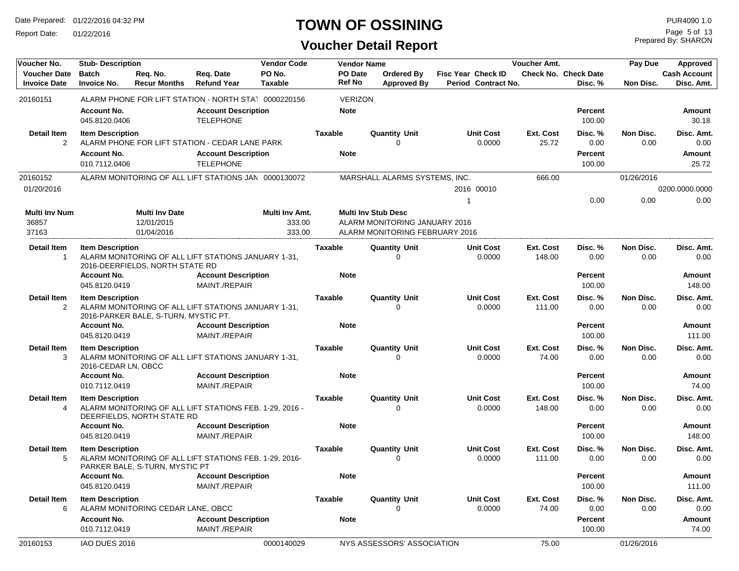Report Date: 01/22/2016

## **TOWN OF OSSINING** PURA090 1.0

Prepared By: SHARON Page 5 of 13

| Voucher No.                                | <b>Stub-Description</b>                        |                                      |                                                         | <b>Vendor Code</b>       |                                 | <b>Vendor Name</b>                                          |                                                  | Voucher Amt.        |                                        | Pay Due           | <b>Approved</b>                   |
|--------------------------------------------|------------------------------------------------|--------------------------------------|---------------------------------------------------------|--------------------------|---------------------------------|-------------------------------------------------------------|--------------------------------------------------|---------------------|----------------------------------------|-------------------|-----------------------------------|
| <b>Voucher Date</b><br><b>Invoice Date</b> | <b>Batch</b><br><b>Invoice No.</b>             | Req. No.<br><b>Recur Months</b>      | Req. Date<br><b>Refund Year</b>                         | PO No.<br><b>Taxable</b> | <b>PO</b> Date<br><b>Ref No</b> | <b>Ordered By</b><br><b>Approved By</b>                     | <b>Fisc Year Check ID</b><br>Period Contract No. |                     | <b>Check No. Check Date</b><br>Disc. % | Non Disc.         | <b>Cash Account</b><br>Disc. Amt. |
| 20160151                                   |                                                |                                      | ALARM PHONE FOR LIFT STATION - NORTH STA1 0000220156    |                          | <b>VERIZON</b>                  |                                                             |                                                  |                     |                                        |                   |                                   |
|                                            | <b>Account No.</b><br>045.8120.0406            |                                      | <b>Account Description</b><br><b>TELEPHONE</b>          |                          | <b>Note</b>                     |                                                             |                                                  |                     | Percent<br>100.00                      |                   | Amount<br>30.18                   |
| Detail Item<br>$\overline{2}$              | <b>Item Description</b>                        |                                      | ALARM PHONE FOR LIFT STATION - CEDAR LANE PARK          |                          | <b>Taxable</b>                  | <b>Quantity Unit</b><br>U                                   | <b>Unit Cost</b><br>0.0000                       | Ext. Cost<br>25.72  | Disc. %<br>0.00                        | Non Disc.<br>0.00 | Disc. Amt.<br>0.00                |
|                                            | <b>Account No.</b><br>010.7112.0406            |                                      | <b>Account Description</b><br><b>TELEPHONE</b>          |                          | <b>Note</b>                     |                                                             |                                                  |                     | Percent<br>100.00                      |                   | Amount<br>25.72                   |
| 20160152                                   |                                                |                                      | ALARM MONITORING OF ALL LIFT STATIONS JAN 0000130072    |                          |                                 | MARSHALL ALARMS SYSTEMS, INC.                               |                                                  | 666.00              |                                        | 01/26/2016        |                                   |
| 01/20/2016                                 |                                                |                                      |                                                         |                          |                                 |                                                             | 2016 00010                                       |                     |                                        |                   | 0200.0000.0000                    |
| Multi Inv Num<br>36857                     |                                                | <b>Multi Inv Date</b><br>12/01/2015  |                                                         | Multi Inv Amt.<br>333.00 |                                 | <b>Multi Inv Stub Desc</b><br>ALARM MONITORING JANUARY 2016 |                                                  |                     | 0.00                                   | 0.00              | 0.00                              |
| 37163                                      |                                                | 01/04/2016                           |                                                         | 333.00                   |                                 | ALARM MONITORING FEBRUARY 2016                              |                                                  |                     |                                        |                   |                                   |
| Detail Item<br>1                           | <b>Item Description</b>                        | 2016-DEERFIELDS, NORTH STATE RD      | ALARM MONITORING OF ALL LIFT STATIONS JANUARY 1-31,     |                          | Taxable                         | <b>Quantity Unit</b><br>U                                   | <b>Unit Cost</b><br>0.0000                       | Ext. Cost<br>148.00 | Disc. %<br>0.00                        | Non Disc.<br>0.00 | Disc. Amt.<br>0.00                |
|                                            | <b>Account No.</b><br>045.8120.0419            |                                      | <b>Account Description</b><br>MAINT./REPAIR             |                          | <b>Note</b>                     |                                                             |                                                  |                     | Percent<br>100.00                      |                   | Amount<br>148.00                  |
| Detail Item<br>2                           | <b>Item Description</b>                        | 2016-PARKER BALE, S-TURN, MYSTIC PT. | ALARM MONITORING OF ALL LIFT STATIONS JANUARY 1-31,     |                          | <b>Taxable</b>                  | <b>Quantity Unit</b><br>0                                   | <b>Unit Cost</b><br>0.0000                       | Ext. Cost<br>111.00 | Disc. %<br>0.00                        | Non Disc.<br>0.00 | Disc. Amt.<br>0.00                |
|                                            | <b>Account No.</b><br>045.8120.0419            |                                      | <b>Account Description</b><br>MAINT./REPAIR             |                          | <b>Note</b>                     |                                                             |                                                  |                     | Percent<br>100.00                      |                   | Amount<br>111.00                  |
| Detail Item<br>3                           | <b>Item Description</b><br>2016-CEDAR LN, OBCC |                                      | ALARM MONITORING OF ALL LIFT STATIONS JANUARY 1-31,     |                          | <b>Taxable</b>                  | <b>Quantity Unit</b><br>U                                   | <b>Unit Cost</b><br>0.0000                       | Ext. Cost<br>74.00  | Disc. %<br>0.00                        | Non Disc.<br>0.00 | Disc. Amt.<br>0.00                |
|                                            | <b>Account No.</b><br>010.7112.0419            |                                      | <b>Account Description</b><br>MAINT./REPAIR             |                          | <b>Note</b>                     |                                                             |                                                  |                     | Percent<br>100.00                      |                   | Amount<br>74.00                   |
| Detail Item<br>4                           | <b>Item Description</b>                        | DEERFIELDS, NORTH STATE RD           | ALARM MONITORING OF ALL LIFT STATIONS FEB. 1-29, 2016 - |                          | <b>Taxable</b>                  | <b>Quantity Unit</b><br>0                                   | <b>Unit Cost</b><br>0.0000                       | Ext. Cost<br>148.00 | Disc. %<br>0.00                        | Non Disc.<br>0.00 | Disc. Amt.<br>0.00                |
|                                            | <b>Account No.</b><br>045.8120.0419            |                                      | <b>Account Description</b><br>MAINT./REPAIR             |                          | <b>Note</b>                     |                                                             |                                                  |                     | Percent<br>100.00                      |                   | Amount<br>148.00                  |
| <b>Detail Item</b><br>5                    | <b>Item Description</b>                        | PARKER BALE, S-TURN, MYSTIC PT       | ALARM MONITORING OF ALL LIFT STATIONS FEB. 1-29, 2016-  |                          | <b>Taxable</b>                  | <b>Quantity Unit</b><br>U                                   | <b>Unit Cost</b><br>0.0000                       | Ext. Cost<br>111.00 | Disc. %<br>0.00                        | Non Disc.<br>0.00 | Disc. Amt.<br>0.00                |
|                                            | Account No.<br>045.8120.0419                   |                                      | <b>Account Description</b><br>MAINT./REPAIR             |                          | <b>Note</b>                     |                                                             |                                                  |                     | <b>Percent</b><br>100.00               |                   | Amount<br>111.00                  |
| <b>Detail Item</b><br>6                    | <b>Item Description</b>                        | ALARM MONITORING CEDAR LANE, OBCC    |                                                         |                          | <b>Taxable</b>                  | <b>Quantity Unit</b>                                        | <b>Unit Cost</b><br>0.0000                       | Ext. Cost<br>74.00  | Disc. %<br>0.00                        | Non Disc.<br>0.00 | Disc. Amt.<br>0.00                |
|                                            | <b>Account No.</b><br>010.7112.0419            |                                      | <b>Account Description</b><br>MAINT./REPAIR             |                          | <b>Note</b>                     |                                                             |                                                  |                     | Percent<br>100.00                      |                   | Amount<br>74.00                   |
| 20160153                                   | IAO DUES 2016                                  |                                      |                                                         | 0000140029               |                                 | NYS ASSESSORS' ASSOCIATION                                  |                                                  | 75.00               |                                        | 01/26/2016        |                                   |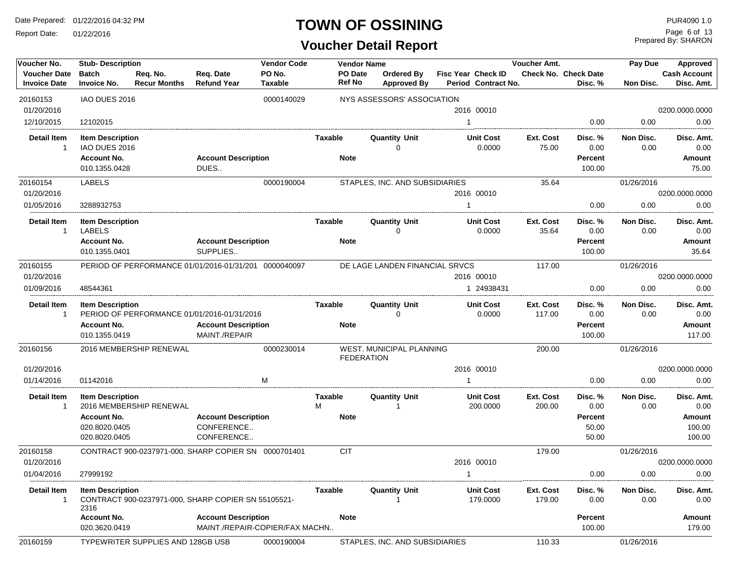Report Date: 01/22/2016

## **TOWN OF OSSINING** PURA090 1.0

Prepared By: SHARON Page 6 of 13

| Voucher No.                                | <b>Stub-Description</b>             |                                          |                                                       | <b>Vendor Code</b>             |                          | <b>Vendor Name</b>                            |              |                                           | Voucher Amt.               |                                 | Pay Due           | Approved                          |
|--------------------------------------------|-------------------------------------|------------------------------------------|-------------------------------------------------------|--------------------------------|--------------------------|-----------------------------------------------|--------------|-------------------------------------------|----------------------------|---------------------------------|-------------------|-----------------------------------|
| <b>Voucher Date</b><br><b>Invoice Date</b> | <b>Batch</b><br><b>Invoice No.</b>  | Req. No.<br><b>Recur Months</b>          | Req. Date<br><b>Refund Year</b>                       | PO No.<br>Taxable              | PO Date<br><b>Ref No</b> | Ordered By<br><b>Approved By</b>              |              | Fisc Year Check ID<br>Period Contract No. |                            | Check No. Check Date<br>Disc. % | Non Disc.         | <b>Cash Account</b><br>Disc. Amt. |
| 20160153                                   | IAO DUES 2016                       |                                          |                                                       | 0000140029                     |                          | NYS ASSESSORS' ASSOCIATION                    |              |                                           |                            |                                 |                   |                                   |
| 01/20/2016                                 |                                     |                                          |                                                       |                                |                          |                                               |              | 2016 00010                                |                            |                                 |                   | 0200.0000.0000                    |
| 12/10/2015                                 | 12102015                            |                                          |                                                       |                                |                          |                                               |              | $\mathbf{1}$                              |                            | 0.00                            | 0.00              | 0.00                              |
| Detail Item                                | <b>Item Description</b>             |                                          |                                                       |                                | <b>Taxable</b>           | <b>Quantity Unit</b>                          |              | <b>Unit Cost</b>                          | Ext. Cost                  | Disc. %                         | Non Disc.         | Disc. Amt.                        |
| $\mathbf{1}$                               | IAO DUES 2016                       |                                          |                                                       |                                |                          | $\Omega$                                      |              | 0.0000                                    | 75.00                      | 0.00                            | 0.00              | 0.00                              |
|                                            | <b>Account No.</b>                  |                                          | <b>Account Description</b>                            |                                | <b>Note</b>              |                                               |              |                                           |                            | Percent                         |                   | Amount                            |
|                                            | 010.1355.0428                       |                                          | DUES                                                  |                                |                          |                                               |              |                                           |                            | 100.00                          |                   | 75.00                             |
| 20160154                                   | <b>LABELS</b>                       |                                          |                                                       | 0000190004                     |                          | STAPLES, INC. AND SUBSIDIARIES                |              |                                           | 35.64                      |                                 | 01/26/2016        |                                   |
| 01/20/2016                                 |                                     |                                          |                                                       |                                |                          |                                               |              | 2016 00010                                |                            |                                 |                   | 0200.0000.0000                    |
| 01/05/2016                                 | 3288932753                          |                                          |                                                       |                                |                          |                                               | $\mathbf{1}$ |                                           |                            | 0.00                            | 0.00              | 0.00                              |
| Detail Item                                | <b>Item Description</b>             |                                          |                                                       |                                | Taxable                  | <b>Quantity Unit</b>                          |              | <b>Unit Cost</b>                          | Ext. Cost                  | Disc. %                         | Non Disc.         | Disc. Amt.                        |
| $\mathbf{1}$                               | <b>LABELS</b><br><b>Account No.</b> |                                          | <b>Account Description</b>                            |                                | <b>Note</b>              | 0                                             |              | 0.0000                                    | 35.64                      | 0.00<br>Percent                 | 0.00              | 0.00<br><b>Amount</b>             |
|                                            | 010.1355.0401                       |                                          | SUPPLIES                                              |                                |                          |                                               |              |                                           |                            | 100.00                          |                   | 35.64                             |
| 20160155                                   |                                     |                                          | PERIOD OF PERFORMANCE 01/01/2016-01/31/201 0000040097 |                                |                          | DE LAGE LANDEN FINANCIAL SRVCS                |              |                                           | 117.00                     |                                 | 01/26/2016        |                                   |
| 01/20/2016                                 |                                     |                                          |                                                       |                                |                          |                                               |              | 2016 00010                                |                            |                                 |                   | 0200.0000.0000                    |
| 01/09/2016                                 | 48544361                            |                                          |                                                       |                                |                          |                                               |              | 1 24938431                                |                            | 0.00                            | 0.00              | 0.00                              |
| Detail Item                                | <b>Item Description</b>             |                                          |                                                       |                                | Taxable                  | <b>Quantity Unit</b>                          |              | <b>Unit Cost</b>                          | <b>Ext. Cost</b>           | Disc. %                         | Non Disc.         | Disc. Amt.                        |
| -1                                         |                                     |                                          | PERIOD OF PERFORMANCE 01/01/2016-01/31/2016           |                                |                          | $\Omega$                                      |              | 0.0000                                    | 117.00<br>0.00             | 0.00                            | 0.00              |                                   |
|                                            | <b>Account No.</b><br>010.1355.0419 |                                          | <b>Account Description</b><br>MAINT./REPAIR           |                                | <b>Note</b>              |                                               |              |                                           |                            | Percent                         |                   | <b>Amount</b><br>117.00           |
|                                            |                                     |                                          |                                                       |                                |                          |                                               |              |                                           |                            | 100.00                          |                   |                                   |
| 20160156                                   |                                     | 2016 MEMBERSHIP RENEWAL                  |                                                       | 0000230014                     |                          | WEST. MUNICIPAL PLANNING<br><b>FEDERATION</b> |              |                                           | 200.00                     |                                 | 01/26/2016        |                                   |
| 01/20/2016                                 |                                     |                                          |                                                       |                                |                          |                                               |              | 2016 00010                                |                            |                                 |                   | 0200.0000.0000                    |
| 01/14/2016                                 | 01142016                            |                                          |                                                       | M                              |                          |                                               |              |                                           |                            | 0.00                            | 0.00              | 0.00                              |
| <b>Detail Item</b><br>$\mathbf{1}$         | <b>Item Description</b>             | 2016 MEMBERSHIP RENEWAL                  |                                                       |                                | <b>Taxable</b><br>м      | <b>Quantity Unit</b>                          |              | <b>Unit Cost</b><br>200.0000              | <b>Ext. Cost</b><br>200.00 | Disc. %<br>0.00                 | Non Disc.<br>0.00 | Disc. Amt.<br>0.00                |
|                                            | <b>Account No.</b>                  |                                          | <b>Account Description</b>                            |                                | <b>Note</b>              |                                               |              |                                           |                            | Percent                         |                   | <b>Amount</b>                     |
|                                            | 020.8020.0405                       |                                          | CONFERENCE                                            |                                |                          |                                               |              |                                           |                            | 50.00                           |                   | 100.00                            |
|                                            | 020.8020.0405                       |                                          | CONFERENCE                                            |                                |                          |                                               |              |                                           |                            | 50.00                           |                   | 100.00                            |
| 20160158                                   |                                     |                                          | CONTRACT 900-0237971-000. SHARP COPIER SN 0000701401  |                                | <b>CIT</b>               |                                               |              |                                           | 179.00                     |                                 | 01/26/2016        |                                   |
| 01/20/2016                                 |                                     |                                          |                                                       |                                |                          |                                               |              | 2016 00010                                |                            |                                 |                   | 0200.0000.0000                    |
| 01/04/2016                                 | 27999192                            |                                          |                                                       |                                |                          |                                               |              | $\mathbf{1}$                              |                            | 0.00                            | 0.00              | 0.00                              |
| Detail Item<br>$\mathbf{1}$                | <b>Item Description</b><br>2316     |                                          | CONTRACT 900-0237971-000, SHARP COPIER SN 55105521-   |                                | Taxable                  | <b>Quantity Unit</b>                          |              | <b>Unit Cost</b><br>179.0000              | Ext. Cost<br>179.00        | Disc. %<br>0.00                 | Non Disc.<br>0.00 | Disc. Amt.<br>0.00                |
|                                            | <b>Account No.</b><br>020.3620.0419 |                                          | <b>Account Description</b>                            | MAINT./REPAIR-COPIER/FAX MACHN | <b>Note</b>              |                                               |              |                                           |                            | Percent<br>100.00               |                   | Amount<br>179.00                  |
| 20160159                                   |                                     | <b>TYPEWRITER SUPPLIES AND 128GB USB</b> |                                                       | 0000190004                     |                          | STAPLES, INC. AND SUBSIDIARIES                |              |                                           | 110.33                     |                                 | 01/26/2016        |                                   |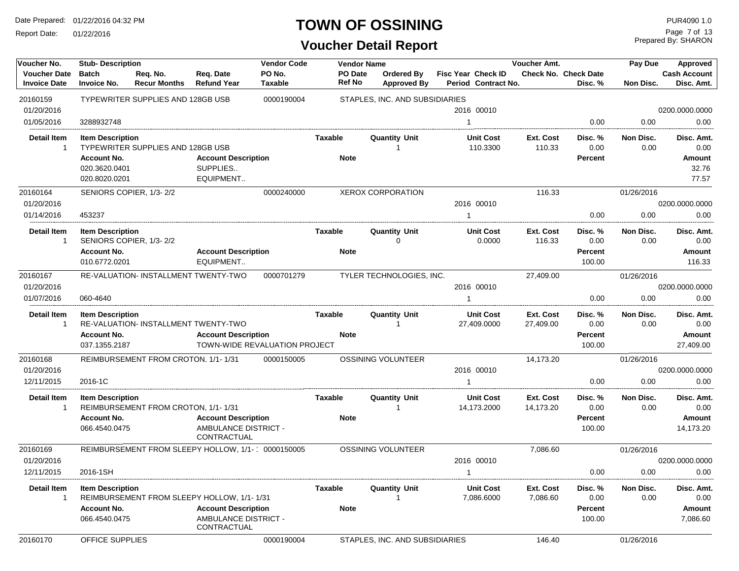Report Date: 01/22/2016

## **TOWN OF OSSINING**

| Voucher No.                                | <b>Stub-Description</b>             |                                                     |                                     | <b>Vendor Code</b>            |                          | <b>Vendor Name</b>               |                                           | Voucher Amt.           |                                        | Pay Due           | Approved                          |
|--------------------------------------------|-------------------------------------|-----------------------------------------------------|-------------------------------------|-------------------------------|--------------------------|----------------------------------|-------------------------------------------|------------------------|----------------------------------------|-------------------|-----------------------------------|
| <b>Voucher Date</b><br><b>Invoice Date</b> | <b>Batch</b><br><b>Invoice No.</b>  | Req. No.<br><b>Recur Months</b>                     | Req. Date<br><b>Refund Year</b>     | PO No.<br><b>Taxable</b>      | PO Date<br><b>Ref No</b> | Ordered By<br><b>Approved By</b> | Fisc Year Check ID<br>Period Contract No. |                        | <b>Check No. Check Date</b><br>Disc. % | Non Disc.         | <b>Cash Account</b><br>Disc. Amt. |
| 20160159                                   |                                     | TYPEWRITER SUPPLIES AND 128GB USB                   |                                     | 0000190004                    |                          | STAPLES, INC. AND SUBSIDIARIES   |                                           |                        |                                        |                   |                                   |
| 01/20/2016                                 |                                     |                                                     |                                     |                               |                          |                                  | 2016 00010                                |                        |                                        |                   | 0200.0000.0000                    |
| 01/05/2016                                 | 3288932748                          |                                                     |                                     |                               |                          |                                  | $\mathbf{1}$                              |                        | 0.00                                   | 0.00              | 0.00                              |
| <b>Detail Item</b><br>$\mathbf 1$          | <b>Item Description</b>             | TYPEWRITER SUPPLIES AND 128GB USB                   |                                     |                               | Taxable                  | <b>Quantity Unit</b>             | <b>Unit Cost</b><br>110.3300              | Ext. Cost<br>110.33    | Disc. %<br>0.00                        | Non Disc.<br>0.00 | Disc. Amt.<br>0.00                |
|                                            | <b>Account No.</b>                  |                                                     | <b>Account Description</b>          |                               | <b>Note</b>              |                                  |                                           |                        | Percent                                |                   | Amount                            |
|                                            | 020.3620.0401                       |                                                     | SUPPLIES                            |                               |                          |                                  |                                           |                        |                                        |                   | 32.76                             |
|                                            | 020.8020.0201                       |                                                     | EQUIPMENT                           |                               |                          |                                  |                                           |                        |                                        |                   | 77.57                             |
| 20160164                                   |                                     | SENIORS COPIER, 1/3-2/2                             |                                     | 0000240000                    |                          | XEROX CORPORATION                |                                           | 116.33                 |                                        | 01/26/2016        |                                   |
| 01/20/2016                                 |                                     |                                                     |                                     |                               |                          |                                  | 2016 00010                                |                        |                                        |                   | 0200.0000.0000                    |
| 01/14/2016                                 | 453237                              |                                                     |                                     |                               |                          |                                  |                                           |                        | 0.00                                   | 0.00              | 0.00                              |
| <b>Detail Item</b><br>-1                   | <b>Item Description</b>             | SENIORS COPIER, 1/3-2/2                             |                                     |                               | Taxable                  | <b>Quantity Unit</b><br>0        | <b>Unit Cost</b><br>0.0000                | Ext. Cost<br>116.33    | Disc. %<br>0.00                        | Non Disc.<br>0.00 | Disc. Amt.<br>0.00                |
|                                            | <b>Account No.</b>                  |                                                     | <b>Account Description</b>          |                               | <b>Note</b>              |                                  |                                           |                        | Percent                                |                   | Amount                            |
|                                            | 010.6772.0201                       |                                                     | EQUIPMENT                           |                               |                          |                                  |                                           |                        | 100.00                                 |                   | 116.33                            |
| 20160167                                   |                                     | <b>RE-VALUATION- INSTALLMENT TWENTY-TWO</b>         |                                     | 0000701279                    |                          | TYLER TECHNOLOGIES, INC.         |                                           | 27,409.00              |                                        | 01/26/2016        |                                   |
| 01/20/2016                                 |                                     |                                                     |                                     |                               |                          |                                  | 2016 00010                                |                        |                                        |                   | 0200.0000.0000                    |
| 01/07/2016                                 | 060-4640                            |                                                     |                                     |                               |                          |                                  | $\mathbf 1$                               |                        | 0.00                                   | 0.00              | 0.00                              |
| <b>Detail Item</b><br>-1                   | <b>Item Description</b>             | RE-VALUATION- INSTALLMENT TWENTY-TWO                |                                     |                               | Taxable                  | <b>Quantity Unit</b>             | <b>Unit Cost</b><br>27,409.0000           | Ext. Cost<br>27,409.00 | Disc. %<br>0.00                        | Non Disc.<br>0.00 | Disc. Amt.<br>0.00                |
|                                            | <b>Account No.</b><br>037.1355.2187 |                                                     | <b>Account Description</b>          | TOWN-WIDE REVALUATION PROJECT | <b>Note</b>              |                                  |                                           |                        | Percent<br>100.00                      |                   | Amount<br>27,409.00               |
| 20160168                                   |                                     | REIMBURSEMENT FROM CROTON, 1/1-1/31                 |                                     | 0000150005                    |                          | OSSINING VOLUNTEER               |                                           | 14,173.20              |                                        | 01/26/2016        |                                   |
| 01/20/2016                                 |                                     |                                                     |                                     |                               |                          |                                  | 2016 00010                                |                        |                                        |                   | 0200.0000.0000                    |
| 12/11/2015                                 | 2016-1C                             |                                                     |                                     |                               |                          |                                  |                                           |                        | 0.00                                   | 0.00              | 0.00                              |
| Detail Item                                | <b>Item Description</b>             |                                                     |                                     |                               | <b>Taxable</b>           | <b>Quantity Unit</b>             | <b>Unit Cost</b>                          | Ext. Cost              | Disc. %                                | Non Disc.         | Disc. Amt.                        |
| -1                                         |                                     | REIMBURSEMENT FROM CROTON, 1/1-1/31                 |                                     |                               |                          |                                  | 14,173.2000                               | 14,173.20              | 0.00                                   | 0.00              | 0.00                              |
|                                            | <b>Account No.</b>                  |                                                     | <b>Account Description</b>          |                               | <b>Note</b>              |                                  |                                           |                        | Percent                                |                   | Amount                            |
|                                            | 066.4540.0475                       |                                                     | AMBULANCE DISTRICT -<br>CONTRACTUAL |                               |                          |                                  |                                           |                        | 100.00                                 |                   | 14,173.20                         |
| 20160169                                   |                                     | REIMBURSEMENT FROM SLEEPY HOLLOW, 1/1- ' 0000150005 |                                     |                               |                          | <b>OSSINING VOLUNTEER</b>        |                                           | 7,086.60               |                                        | 01/26/2016        |                                   |
| 01/20/2016                                 |                                     |                                                     |                                     |                               |                          |                                  | 2016 00010                                |                        |                                        |                   | 0200.0000.0000                    |
| 12/11/2015                                 | 2016-1SH                            |                                                     |                                     |                               |                          |                                  | -1                                        |                        | 0.00                                   | 0.00              | 0.00                              |
| Detail Item<br>1                           | <b>Item Description</b>             | REIMBURSEMENT FROM SLEEPY HOLLOW, 1/1-1/31          |                                     |                               | Taxable                  | <b>Quantity Unit</b>             | <b>Unit Cost</b><br>7,086.6000            | Ext. Cost<br>7,086.60  | Disc. %<br>0.00                        | Non Disc.<br>0.00 | Disc. Amt.<br>0.00                |
|                                            | <b>Account No.</b>                  |                                                     | <b>Account Description</b>          |                               | <b>Note</b>              |                                  |                                           |                        | Percent                                |                   | Amount                            |
|                                            | 066.4540.0475                       |                                                     | AMBULANCE DISTRICT -<br>CONTRACTUAL |                               |                          |                                  |                                           |                        | 100.00                                 |                   | 7,086.60                          |
| 20160170                                   | OFFICE SUPPLIES                     |                                                     |                                     | 0000190004                    |                          | STAPLES, INC. AND SUBSIDIARIES   |                                           | 146.40                 |                                        | 01/26/2016        |                                   |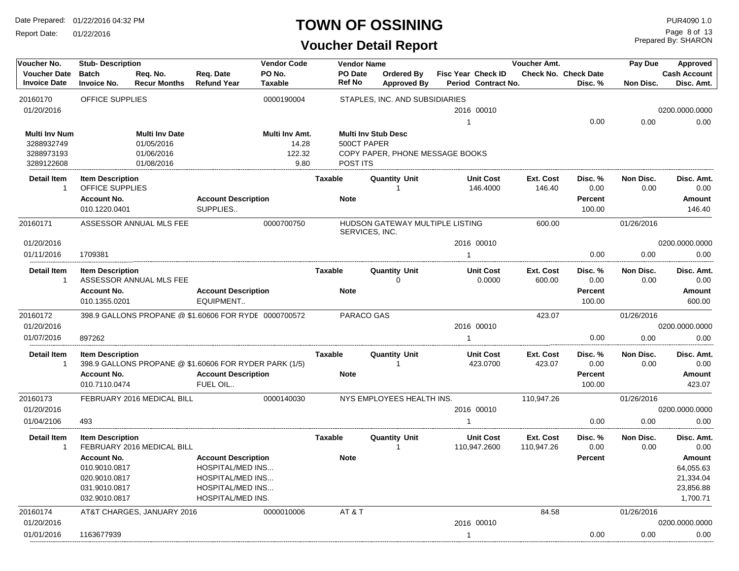Report Date: 01/22/2016

#### **TOWN OF OSSINING**

## **Voucher Detail Report**

Prepared By: SHARON Page 8 of 13

| Voucher No.                                | <b>Stub-Description</b>                    |                                                        |                                             | <b>Vendor Code</b>       |                | <b>Vendor Name</b>         |                                         |                |                                                  | Voucher Amt.               |                                 | Approved          |                                   |
|--------------------------------------------|--------------------------------------------|--------------------------------------------------------|---------------------------------------------|--------------------------|----------------|----------------------------|-----------------------------------------|----------------|--------------------------------------------------|----------------------------|---------------------------------|-------------------|-----------------------------------|
| <b>Voucher Date</b><br><b>Invoice Date</b> | <b>Batch</b><br><b>Invoice No.</b>         | Req. No.<br><b>Recur Months</b>                        | Req. Date<br><b>Refund Year</b>             | PO No.<br><b>Taxable</b> |                | PO Date<br><b>Ref No</b>   | <b>Ordered By</b><br><b>Approved By</b> |                | <b>Fisc Year Check ID</b><br>Period Contract No. |                            | Check No. Check Date<br>Disc. % | Non Disc.         | <b>Cash Account</b><br>Disc. Amt. |
| 20160170                                   | OFFICE SUPPLIES                            |                                                        |                                             | 0000190004               |                |                            | STAPLES, INC. AND SUBSIDIARIES          |                |                                                  |                            |                                 |                   |                                   |
| 01/20/2016                                 |                                            |                                                        |                                             |                          |                |                            |                                         |                | 2016 00010                                       |                            |                                 |                   | 0200.0000.0000                    |
|                                            |                                            |                                                        |                                             |                          |                |                            |                                         | $\mathbf{1}$   |                                                  |                            | 0.00                            | 0.00              | 0.00                              |
| <b>Multi Inv Num</b>                       |                                            | <b>Multi Inv Date</b>                                  |                                             | Multi Inv Amt.           |                | <b>Multi Inv Stub Desc</b> |                                         |                |                                                  |                            |                                 |                   |                                   |
| 3288932749<br>3288973193                   |                                            | 01/05/2016<br>01/06/2016                               |                                             | 14.28<br>122.32          |                | 500CT PAPER                | COPY PAPER, PHONE MESSAGE BOOKS         |                |                                                  |                            |                                 |                   |                                   |
| 3289122608                                 |                                            | 01/08/2016                                             |                                             | 9.80                     |                | POST ITS                   |                                         |                |                                                  |                            |                                 |                   |                                   |
| <b>Detail Item</b><br>$\mathbf{1}$         | <b>Item Description</b><br>OFFICE SUPPLIES |                                                        |                                             |                          | <b>Taxable</b> |                            | <b>Quantity Unit</b><br>-1              |                | <b>Unit Cost</b><br>146.4000                     | <b>Ext. Cost</b><br>146.40 | Disc. %<br>0.00                 | Non Disc.<br>0.00 | Disc. Amt.<br>0.00                |
|                                            | <b>Account No.</b>                         |                                                        | <b>Account Description</b>                  |                          |                | <b>Note</b>                |                                         |                |                                                  |                            | Percent                         |                   | Amount                            |
|                                            | 010.1220.0401                              |                                                        | SUPPLIES                                    |                          |                |                            |                                         |                |                                                  |                            | 100.00                          |                   | 146.40                            |
| 20160171                                   |                                            | ASSESSOR ANNUAL MLS FEE                                |                                             | 0000700750               |                | SERVICES, INC.             | HUDSON GATEWAY MULTIPLE LISTING         |                |                                                  | 600.00                     |                                 | 01/26/2016        |                                   |
| 01/20/2016                                 |                                            |                                                        |                                             |                          |                |                            |                                         |                | 2016 00010                                       |                            |                                 |                   | 0200.0000.0000                    |
| 01/11/2016                                 | 1709381                                    |                                                        |                                             |                          |                |                            |                                         | -1             |                                                  |                            | 0.00                            | 0.00              | 0.00                              |
| <b>Detail Item</b><br>$\mathbf{1}$         | <b>Item Description</b>                    | ASSESSOR ANNUAL MLS FEE                                |                                             |                          | <b>Taxable</b> |                            | <b>Quantity Unit</b><br>0               |                | <b>Unit Cost</b><br>0.0000                       | <b>Ext. Cost</b><br>600.00 | Disc. %<br>0.00                 | Non Disc.<br>0.00 | Disc. Amt.<br>0.00                |
|                                            | <b>Account No.</b><br>010.1355.0201        |                                                        | <b>Account Description</b><br>EQUIPMENT     |                          |                | <b>Note</b>                |                                         |                |                                                  |                            | Percent<br>100.00               |                   | Amount<br>600.00                  |
| 20160172                                   |                                            | 398.9 GALLONS PROPANE @ \$1.60606 FOR RYDE 0000700572  |                                             |                          |                | PARACO GAS                 |                                         |                |                                                  | 423.07                     |                                 | 01/26/2016        |                                   |
| 01/20/2016                                 |                                            |                                                        |                                             |                          |                |                            |                                         |                | 2016 00010                                       |                            |                                 |                   | 0200.0000.0000                    |
| 01/07/2016                                 | 897262                                     |                                                        |                                             |                          |                |                            |                                         | $\overline{1}$ |                                                  |                            | 0.00                            | 0.00              | 0.00                              |
| <b>Detail Item</b><br>$\mathbf{1}$         | <b>Item Description</b>                    | 398.9 GALLONS PROPANE @ \$1.60606 FOR RYDER PARK (1/5) |                                             |                          | <b>Taxable</b> |                            | <b>Quantity Unit</b><br>-1              |                | <b>Unit Cost</b><br>423.0700                     | Ext. Cost<br>423.07        | Disc. %<br>0.00                 | Non Disc.<br>0.00 | Disc. Amt.<br>0.00                |
|                                            | <b>Account No.</b><br>010.7110.0474        |                                                        | <b>Account Description</b><br>FUEL OIL      |                          |                | <b>Note</b>                |                                         |                |                                                  |                            | Percent<br>100.00               |                   | Amount<br>423.07                  |
| 20160173                                   |                                            | FEBRUARY 2016 MEDICAL BILL                             |                                             | 0000140030               |                |                            | NYS EMPLOYEES HEALTH INS.               |                |                                                  | 110,947.26                 |                                 | 01/26/2016        |                                   |
| 01/20/2016                                 |                                            |                                                        |                                             |                          |                |                            |                                         |                | 2016 00010                                       |                            |                                 |                   | 0200.0000.0000                    |
| 01/04/2106                                 | 493                                        |                                                        |                                             |                          |                |                            |                                         | 1              |                                                  |                            | 0.00                            | 0.00              | 0.00                              |
| <b>Detail Item</b><br>$\mathbf{1}$         | <b>Item Description</b>                    | FEBRUARY 2016 MEDICAL BILL                             |                                             |                          | <b>Taxable</b> |                            | <b>Quantity Unit</b><br>$\overline{1}$  |                | <b>Unit Cost</b><br>110,947.2600                 | Ext. Cost<br>110,947.26    | Disc. %<br>0.00                 | Non Disc.<br>0.00 | Disc. Amt.<br>0.00                |
|                                            | <b>Account No.</b>                         |                                                        | <b>Account Description</b>                  |                          |                | <b>Note</b>                |                                         |                |                                                  |                            | Percent                         |                   | Amount                            |
|                                            | 010.9010.0817                              |                                                        | <b>HOSPITAL/MED INS</b>                     |                          |                |                            |                                         |                |                                                  |                            |                                 |                   | 64,055.63                         |
|                                            | 020.9010.0817<br>031.9010.0817             |                                                        | <b>HOSPITAL/MED INS</b><br>HOSPITAL/MED INS |                          |                |                            |                                         |                |                                                  |                            |                                 |                   | 21,334.04<br>23,856.88            |
|                                            | 032.9010.0817                              |                                                        | HOSPITAL/MED INS.                           |                          |                |                            |                                         |                |                                                  |                            |                                 |                   | 1,700.71                          |
| 20160174                                   |                                            | AT&T CHARGES, JANUARY 2016                             |                                             | 0000010006               |                | AT&T                       |                                         |                |                                                  | 84.58                      |                                 | 01/26/2016        |                                   |
| 01/20/2016                                 |                                            |                                                        |                                             |                          |                |                            |                                         |                | 2016 00010                                       |                            |                                 |                   | 0200.0000.0000                    |
| 01/01/2016                                 | 1163677939                                 |                                                        |                                             |                          |                |                            |                                         | -1             |                                                  |                            | 0.00                            | 0.00              | 0.00                              |
|                                            |                                            |                                                        |                                             |                          |                |                            |                                         |                |                                                  |                            |                                 |                   |                                   |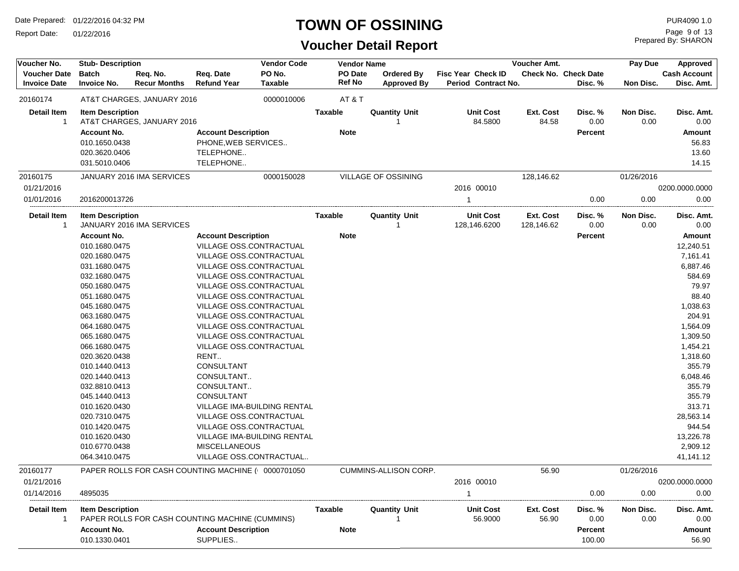Report Date: 01/22/2016

## **TOWN OF OSSINING**

## **Voucher Detail Report**

Prepared By: SHARON Page 9 of 13

| Voucher No.         | <b>Stub-Description</b> |                            |                                                    | <b>Vendor Code</b> |                | <b>Vendor Name</b>         |                           | Voucher Amt.     |                             | Pay Due    | Approved            |
|---------------------|-------------------------|----------------------------|----------------------------------------------------|--------------------|----------------|----------------------------|---------------------------|------------------|-----------------------------|------------|---------------------|
| <b>Voucher Date</b> | <b>Batch</b>            | Req. No.                   | Reg. Date                                          | PO No.             | <b>PO Date</b> | <b>Ordered By</b>          | <b>Fisc Year Check ID</b> |                  | <b>Check No. Check Date</b> |            | <b>Cash Account</b> |
| <b>Invoice Date</b> | <b>Invoice No.</b>      | <b>Recur Months</b>        | <b>Refund Year</b>                                 | <b>Taxable</b>     | <b>Ref No</b>  | <b>Approved By</b>         | Period Contract No.       |                  | Disc. %                     | Non Disc.  | Disc. Amt.          |
| 20160174            |                         | AT&T CHARGES, JANUARY 2016 |                                                    | 0000010006         | AT&T           |                            |                           |                  |                             |            |                     |
| <b>Detail Item</b>  | <b>Item Description</b> |                            |                                                    |                    | <b>Taxable</b> | <b>Quantity Unit</b>       | <b>Unit Cost</b>          | <b>Ext. Cost</b> | Disc. %                     | Non Disc.  | Disc. Amt.          |
| -1                  |                         | AT&T CHARGES, JANUARY 2016 |                                                    |                    |                | -1                         | 84.5800                   | 84.58            | 0.00                        | 0.00       | 0.00                |
|                     | <b>Account No.</b>      |                            | <b>Account Description</b>                         |                    | <b>Note</b>    |                            |                           |                  | <b>Percent</b>              |            | Amount              |
|                     | 010.1650.0438           |                            | PHONE, WEB SERVICES                                |                    |                |                            |                           |                  |                             |            | 56.83               |
|                     | 020.3620.0406           |                            | TELEPHONE                                          |                    |                |                            |                           |                  |                             |            | 13.60               |
|                     | 031.5010.0406           |                            | TELEPHONE                                          |                    |                |                            |                           |                  |                             |            | 14.15               |
| 20160175            |                         | JANUARY 2016 IMA SERVICES  |                                                    | 0000150028         |                | <b>VILLAGE OF OSSINING</b> |                           | 128,146.62       |                             | 01/26/2016 |                     |
| 01/21/2016          |                         |                            |                                                    |                    |                |                            | 2016 00010                |                  |                             |            | 0200.0000.0000      |
| 01/01/2016          | 2016200013726           |                            |                                                    |                    |                |                            | 1                         |                  | 0.00                        | 0.00       | 0.00                |
| <b>Detail Item</b>  | <b>Item Description</b> |                            |                                                    |                    | Taxable        | <b>Quantity Unit</b>       | <b>Unit Cost</b>          | Ext. Cost        | Disc. %                     | Non Disc.  | Disc. Amt.          |
| $\mathbf{1}$        |                         | JANUARY 2016 IMA SERVICES  |                                                    |                    |                | -1                         | 128,146.6200              | 128,146.62       | 0.00                        | 0.00       | 0.00                |
|                     | <b>Account No.</b>      |                            | <b>Account Description</b>                         |                    | <b>Note</b>    |                            |                           |                  | <b>Percent</b>              |            | Amount              |
|                     | 010.1680.0475           |                            | VILLAGE OSS.CONTRACTUAL                            |                    |                |                            |                           |                  |                             |            | 12,240.51           |
|                     | 020.1680.0475           |                            | VILLAGE OSS.CONTRACTUAL                            |                    |                |                            |                           |                  |                             |            | 7,161.41            |
|                     | 031.1680.0475           |                            | VILLAGE OSS.CONTRACTUAL                            |                    |                |                            |                           |                  |                             |            | 6,887.46            |
|                     | 032.1680.0475           |                            | VILLAGE OSS.CONTRACTUAL                            |                    |                |                            |                           |                  |                             |            | 584.69              |
|                     | 050.1680.0475           |                            | VILLAGE OSS.CONTRACTUAL                            |                    |                |                            |                           |                  |                             |            | 79.97               |
|                     | 051.1680.0475           |                            | VILLAGE OSS.CONTRACTUAL                            |                    |                |                            |                           |                  |                             |            | 88.40               |
|                     | 045.1680.0475           |                            | VILLAGE OSS.CONTRACTUAL                            |                    |                |                            |                           |                  |                             |            | 1,038.63            |
|                     | 063.1680.0475           |                            | VILLAGE OSS.CONTRACTUAL                            |                    |                |                            |                           |                  |                             |            | 204.91              |
|                     | 064.1680.0475           |                            | VILLAGE OSS.CONTRACTUAL                            |                    |                |                            |                           |                  |                             |            | 1,564.09            |
|                     | 065.1680.0475           |                            | VILLAGE OSS.CONTRACTUAL                            |                    |                |                            |                           |                  |                             |            | 1,309.50            |
|                     | 066.1680.0475           |                            | VILLAGE OSS.CONTRACTUAL                            |                    |                |                            |                           |                  |                             |            | 1,454.21            |
|                     | 020.3620.0438           |                            | RENT                                               |                    |                |                            |                           |                  |                             |            | 1,318.60            |
|                     | 010.1440.0413           |                            | CONSULTANT                                         |                    |                |                            |                           |                  |                             |            | 355.79              |
|                     | 020.1440.0413           |                            | CONSULTANT                                         |                    |                |                            |                           |                  |                             |            | 6,048.46            |
|                     | 032.8810.0413           |                            | CONSULTANT                                         |                    |                |                            |                           |                  |                             |            | 355.79              |
|                     | 045.1440.0413           |                            | CONSULTANT                                         |                    |                |                            |                           |                  |                             |            | 355.79              |
|                     | 010.1620.0430           |                            | VILLAGE IMA-BUILDING RENTAL                        |                    |                |                            |                           |                  |                             |            | 313.71              |
|                     | 020.7310.0475           |                            | VILLAGE OSS.CONTRACTUAL                            |                    |                |                            |                           |                  |                             |            | 28,563.14           |
|                     | 010.1420.0475           |                            | VILLAGE OSS.CONTRACTUAL                            |                    |                |                            |                           |                  |                             |            | 944.54              |
|                     | 010.1620.0430           |                            | VILLAGE IMA-BUILDING RENTAL                        |                    |                |                            |                           |                  |                             |            | 13,226.78           |
|                     | 010.6770.0438           |                            | <b>MISCELLANEOUS</b>                               |                    |                |                            |                           |                  |                             |            | 2,909.12            |
|                     | 064.3410.0475           |                            | VILLAGE OSS.CONTRACTUAL                            |                    |                |                            |                           |                  |                             |            | 41,141.12           |
| 20160177            |                         |                            | PAPER ROLLS FOR CASH COUNTING MACHINE ( 0000701050 |                    |                | CUMMINS-ALLISON CORP.      |                           | 56.90            |                             | 01/26/2016 |                     |
| 01/21/2016          |                         |                            |                                                    |                    |                |                            | 2016 00010                |                  |                             |            | 0200.0000.0000      |
| 01/14/2016          | 4895035                 |                            |                                                    |                    |                |                            | 1                         |                  | 0.00                        | 0.00       | 0.00                |
| <b>Detail Item</b>  | <b>Item Description</b> |                            |                                                    |                    | <b>Taxable</b> | <b>Quantity Unit</b>       | <b>Unit Cost</b>          | Ext. Cost        | Disc. %                     | Non Disc.  | Disc. Amt.          |
| $\overline{1}$      |                         |                            | PAPER ROLLS FOR CASH COUNTING MACHINE (CUMMINS)    |                    |                | -1                         | 56.9000                   | 56.90            | 0.00                        | 0.00       | 0.00                |
|                     | Account No.             |                            | <b>Account Description</b>                         |                    | <b>Note</b>    |                            |                           |                  | <b>Percent</b>              |            | Amount              |
|                     | 010.1330.0401           |                            | SUPPLIES                                           |                    |                |                            |                           |                  | 100.00                      |            | 56.90               |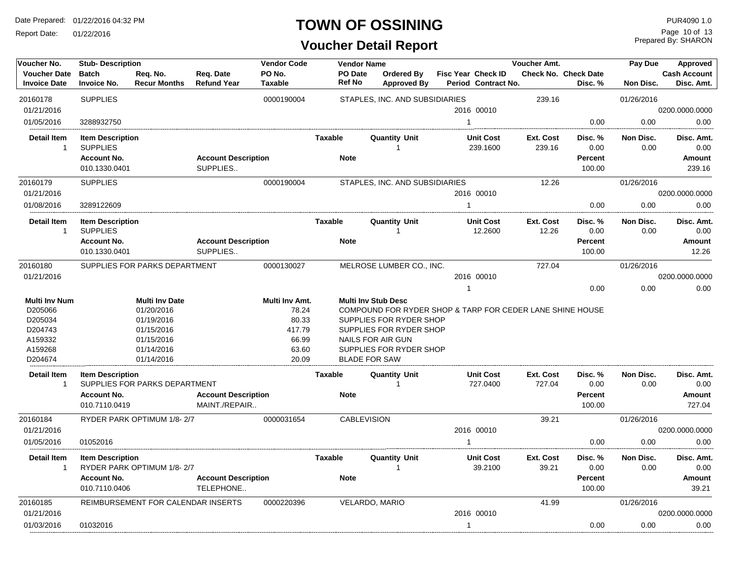Report Date: 01/22/2016

## **TOWN OF OSSINING**

## **Voucher Detail Report**

Prepared By: SHARON Page 10 of 13

| PO No.<br>PO Date<br><b>Cash Account</b><br><b>Voucher Date</b><br><b>Batch</b><br>Req. No.<br>Req. Date<br>Ordered By<br>Fisc Year Check ID<br><b>Check No. Check Date</b><br><b>Ref No</b><br><b>Refund Year</b><br><b>Taxable</b><br>Disc. Amt.<br><b>Invoice Date</b><br><b>Invoice No.</b><br><b>Recur Months</b><br><b>Approved By</b><br>Period Contract No.<br>Disc. %<br>Non Disc.<br>20160178<br><b>SUPPLIES</b><br>STAPLES, INC. AND SUBSIDIARIES<br>239.16<br>01/26/2016<br>0000190004<br>01/21/2016<br>2016 00010<br>0200.0000.0000<br>01/05/2016<br>0.00<br>0.00<br>3288932750<br>0.00<br>Detail Item<br><b>Item Description</b><br><b>Taxable</b><br><b>Quantity Unit</b><br><b>Unit Cost</b><br>Ext. Cost<br>Disc. %<br>Non Disc.<br>Disc. Amt.<br><b>SUPPLIES</b><br>239.1600<br>239.16<br>0.00<br>0.00<br>0.00<br>$\mathbf{1}$<br>-1<br><b>Account Description</b><br><b>Note</b><br>Percent<br>Amount<br><b>Account No.</b><br>010.1330.0401<br>SUPPLIES<br>100.00<br>239.16<br>20160179<br><b>SUPPLIES</b><br>0000190004<br>12.26<br>STAPLES, INC. AND SUBSIDIARIES<br>01/26/2016<br>01/21/2016<br>2016 00010<br>0200.0000.0000<br>0.00<br>01/08/2016<br>0.00<br>0.00<br>3289122609<br>$\mathbf{1}$<br><b>Detail Item</b><br><b>Item Description</b><br><b>Taxable</b><br><b>Quantity Unit</b><br><b>Unit Cost</b><br>Ext. Cost<br>Disc. %<br>Non Disc.<br>Disc. Amt.<br><b>SUPPLIES</b><br>12.2600<br>12.26<br>0.00<br>0.00<br>$\overline{1}$<br>0.00<br><b>Account Description</b><br><b>Note</b><br><b>Account No.</b><br>Percent<br>Amount<br>010.1330.0401<br>SUPPLIES<br>100.00<br>12.26<br>SUPPLIES FOR PARKS DEPARTMENT<br>727.04<br>20160180<br>0000130027<br>MELROSE LUMBER CO., INC.<br>01/26/2016<br>0200.0000.0000<br>01/21/2016<br>2016 00010<br>0.00<br>0.00<br>0.00<br>$\mathbf{1}$<br><b>Multi Inv Date</b><br>Multi Inv Amt.<br><b>Multi Inv Stub Desc</b><br><b>Multi Inv Num</b><br>COMPOUND FOR RYDER SHOP & TARP FOR CEDER LANE SHINE HOUSE<br>D205066<br>01/20/2016<br>78.24<br>80.33<br>D205034<br>01/19/2016<br>SUPPLIES FOR RYDER SHOP<br>D204743<br>417.79<br>SUPPLIES FOR RYDER SHOP<br>01/15/2016<br>A159332<br>01/15/2016<br>66.99<br>NAILS FOR AIR GUN<br>A159268<br>01/14/2016<br>63.60<br>SUPPLIES FOR RYDER SHOP<br>20.09<br>D204674<br>01/14/2016<br><b>BLADE FOR SAW</b><br><b>Detail Item</b><br>Taxable<br><b>Quantity Unit</b><br><b>Unit Cost</b><br>Ext. Cost<br><b>Item Description</b><br>Disc. %<br>Non Disc.<br>Disc. Amt.<br>SUPPLIES FOR PARKS DEPARTMENT<br>727.0400<br>727.04<br>0.00<br>0.00<br>0.00<br>$\mathbf{1}$<br><b>Account No.</b><br><b>Account Description</b><br><b>Note</b><br>Percent<br>Amount<br>010.7110.0419<br>MAINT./REPAIR<br>100.00<br>727.04<br>20160184<br>RYDER PARK OPTIMUM 1/8-2/7<br>0000031654<br><b>CABLEVISION</b><br>39.21<br>01/26/2016<br>01/21/2016<br>2016 00010<br>0200.0000.0000<br>01/05/2016<br>01052016<br>0.00<br>0.00<br>0.00<br>1<br><b>Detail Item</b><br><b>Item Description</b><br>Taxable<br><b>Quantity Unit</b><br><b>Unit Cost</b><br>Ext. Cost<br>Disc. %<br>Non Disc.<br>Disc. Amt.<br>RYDER PARK OPTIMUM 1/8-2/7<br>39.2100<br>39.21<br>0.00<br>0.00<br>0.00<br>$\overline{1}$<br>1<br><b>Account Description</b><br><b>Account No.</b><br><b>Note</b><br><b>Percent</b><br>Amount<br>010.7110.0406<br>TELEPHONE<br>100.00<br>39.21<br>REIMBURSEMENT FOR CALENDAR INSERTS<br>VELARDO, MARIO<br>41.99<br>20160185<br>0000220396<br>01/26/2016<br>2016 00010<br>01/21/2016<br>0200.0000.0000<br>01/03/2016<br>01032016<br>0.00<br>0.00<br>0.00<br>$\mathbf{1}$ | Voucher No. | <b>Stub-Description</b> |  | <b>Vendor Code</b> | <b>Vendor Name</b> | Voucher Amt. | Pay Due | Approved |
|-----------------------------------------------------------------------------------------------------------------------------------------------------------------------------------------------------------------------------------------------------------------------------------------------------------------------------------------------------------------------------------------------------------------------------------------------------------------------------------------------------------------------------------------------------------------------------------------------------------------------------------------------------------------------------------------------------------------------------------------------------------------------------------------------------------------------------------------------------------------------------------------------------------------------------------------------------------------------------------------------------------------------------------------------------------------------------------------------------------------------------------------------------------------------------------------------------------------------------------------------------------------------------------------------------------------------------------------------------------------------------------------------------------------------------------------------------------------------------------------------------------------------------------------------------------------------------------------------------------------------------------------------------------------------------------------------------------------------------------------------------------------------------------------------------------------------------------------------------------------------------------------------------------------------------------------------------------------------------------------------------------------------------------------------------------------------------------------------------------------------------------------------------------------------------------------------------------------------------------------------------------------------------------------------------------------------------------------------------------------------------------------------------------------------------------------------------------------------------------------------------------------------------------------------------------------------------------------------------------------------------------------------------------------------------------------------------------------------------------------------------------------------------------------------------------------------------------------------------------------------------------------------------------------------------------------------------------------------------------------------------------------------------------------------------------------------------------------------------------------------------------------------------------------------------------------------------------------------------------------------------------------------------------------------------------------------------------------------------------------------------------------------------------------------------------------------------------------------------------------------------------------------------------------------------------------------------------------|-------------|-------------------------|--|--------------------|--------------------|--------------|---------|----------|
|                                                                                                                                                                                                                                                                                                                                                                                                                                                                                                                                                                                                                                                                                                                                                                                                                                                                                                                                                                                                                                                                                                                                                                                                                                                                                                                                                                                                                                                                                                                                                                                                                                                                                                                                                                                                                                                                                                                                                                                                                                                                                                                                                                                                                                                                                                                                                                                                                                                                                                                                                                                                                                                                                                                                                                                                                                                                                                                                                                                                                                                                                                                                                                                                                                                                                                                                                                                                                                                                                                                                                                                         |             |                         |  |                    |                    |              |         |          |
|                                                                                                                                                                                                                                                                                                                                                                                                                                                                                                                                                                                                                                                                                                                                                                                                                                                                                                                                                                                                                                                                                                                                                                                                                                                                                                                                                                                                                                                                                                                                                                                                                                                                                                                                                                                                                                                                                                                                                                                                                                                                                                                                                                                                                                                                                                                                                                                                                                                                                                                                                                                                                                                                                                                                                                                                                                                                                                                                                                                                                                                                                                                                                                                                                                                                                                                                                                                                                                                                                                                                                                                         |             |                         |  |                    |                    |              |         |          |
|                                                                                                                                                                                                                                                                                                                                                                                                                                                                                                                                                                                                                                                                                                                                                                                                                                                                                                                                                                                                                                                                                                                                                                                                                                                                                                                                                                                                                                                                                                                                                                                                                                                                                                                                                                                                                                                                                                                                                                                                                                                                                                                                                                                                                                                                                                                                                                                                                                                                                                                                                                                                                                                                                                                                                                                                                                                                                                                                                                                                                                                                                                                                                                                                                                                                                                                                                                                                                                                                                                                                                                                         |             |                         |  |                    |                    |              |         |          |
|                                                                                                                                                                                                                                                                                                                                                                                                                                                                                                                                                                                                                                                                                                                                                                                                                                                                                                                                                                                                                                                                                                                                                                                                                                                                                                                                                                                                                                                                                                                                                                                                                                                                                                                                                                                                                                                                                                                                                                                                                                                                                                                                                                                                                                                                                                                                                                                                                                                                                                                                                                                                                                                                                                                                                                                                                                                                                                                                                                                                                                                                                                                                                                                                                                                                                                                                                                                                                                                                                                                                                                                         |             |                         |  |                    |                    |              |         |          |
|                                                                                                                                                                                                                                                                                                                                                                                                                                                                                                                                                                                                                                                                                                                                                                                                                                                                                                                                                                                                                                                                                                                                                                                                                                                                                                                                                                                                                                                                                                                                                                                                                                                                                                                                                                                                                                                                                                                                                                                                                                                                                                                                                                                                                                                                                                                                                                                                                                                                                                                                                                                                                                                                                                                                                                                                                                                                                                                                                                                                                                                                                                                                                                                                                                                                                                                                                                                                                                                                                                                                                                                         |             |                         |  |                    |                    |              |         |          |
|                                                                                                                                                                                                                                                                                                                                                                                                                                                                                                                                                                                                                                                                                                                                                                                                                                                                                                                                                                                                                                                                                                                                                                                                                                                                                                                                                                                                                                                                                                                                                                                                                                                                                                                                                                                                                                                                                                                                                                                                                                                                                                                                                                                                                                                                                                                                                                                                                                                                                                                                                                                                                                                                                                                                                                                                                                                                                                                                                                                                                                                                                                                                                                                                                                                                                                                                                                                                                                                                                                                                                                                         |             |                         |  |                    |                    |              |         |          |
|                                                                                                                                                                                                                                                                                                                                                                                                                                                                                                                                                                                                                                                                                                                                                                                                                                                                                                                                                                                                                                                                                                                                                                                                                                                                                                                                                                                                                                                                                                                                                                                                                                                                                                                                                                                                                                                                                                                                                                                                                                                                                                                                                                                                                                                                                                                                                                                                                                                                                                                                                                                                                                                                                                                                                                                                                                                                                                                                                                                                                                                                                                                                                                                                                                                                                                                                                                                                                                                                                                                                                                                         |             |                         |  |                    |                    |              |         |          |
|                                                                                                                                                                                                                                                                                                                                                                                                                                                                                                                                                                                                                                                                                                                                                                                                                                                                                                                                                                                                                                                                                                                                                                                                                                                                                                                                                                                                                                                                                                                                                                                                                                                                                                                                                                                                                                                                                                                                                                                                                                                                                                                                                                                                                                                                                                                                                                                                                                                                                                                                                                                                                                                                                                                                                                                                                                                                                                                                                                                                                                                                                                                                                                                                                                                                                                                                                                                                                                                                                                                                                                                         |             |                         |  |                    |                    |              |         |          |
|                                                                                                                                                                                                                                                                                                                                                                                                                                                                                                                                                                                                                                                                                                                                                                                                                                                                                                                                                                                                                                                                                                                                                                                                                                                                                                                                                                                                                                                                                                                                                                                                                                                                                                                                                                                                                                                                                                                                                                                                                                                                                                                                                                                                                                                                                                                                                                                                                                                                                                                                                                                                                                                                                                                                                                                                                                                                                                                                                                                                                                                                                                                                                                                                                                                                                                                                                                                                                                                                                                                                                                                         |             |                         |  |                    |                    |              |         |          |
|                                                                                                                                                                                                                                                                                                                                                                                                                                                                                                                                                                                                                                                                                                                                                                                                                                                                                                                                                                                                                                                                                                                                                                                                                                                                                                                                                                                                                                                                                                                                                                                                                                                                                                                                                                                                                                                                                                                                                                                                                                                                                                                                                                                                                                                                                                                                                                                                                                                                                                                                                                                                                                                                                                                                                                                                                                                                                                                                                                                                                                                                                                                                                                                                                                                                                                                                                                                                                                                                                                                                                                                         |             |                         |  |                    |                    |              |         |          |
|                                                                                                                                                                                                                                                                                                                                                                                                                                                                                                                                                                                                                                                                                                                                                                                                                                                                                                                                                                                                                                                                                                                                                                                                                                                                                                                                                                                                                                                                                                                                                                                                                                                                                                                                                                                                                                                                                                                                                                                                                                                                                                                                                                                                                                                                                                                                                                                                                                                                                                                                                                                                                                                                                                                                                                                                                                                                                                                                                                                                                                                                                                                                                                                                                                                                                                                                                                                                                                                                                                                                                                                         |             |                         |  |                    |                    |              |         |          |
|                                                                                                                                                                                                                                                                                                                                                                                                                                                                                                                                                                                                                                                                                                                                                                                                                                                                                                                                                                                                                                                                                                                                                                                                                                                                                                                                                                                                                                                                                                                                                                                                                                                                                                                                                                                                                                                                                                                                                                                                                                                                                                                                                                                                                                                                                                                                                                                                                                                                                                                                                                                                                                                                                                                                                                                                                                                                                                                                                                                                                                                                                                                                                                                                                                                                                                                                                                                                                                                                                                                                                                                         |             |                         |  |                    |                    |              |         |          |
|                                                                                                                                                                                                                                                                                                                                                                                                                                                                                                                                                                                                                                                                                                                                                                                                                                                                                                                                                                                                                                                                                                                                                                                                                                                                                                                                                                                                                                                                                                                                                                                                                                                                                                                                                                                                                                                                                                                                                                                                                                                                                                                                                                                                                                                                                                                                                                                                                                                                                                                                                                                                                                                                                                                                                                                                                                                                                                                                                                                                                                                                                                                                                                                                                                                                                                                                                                                                                                                                                                                                                                                         |             |                         |  |                    |                    |              |         |          |
|                                                                                                                                                                                                                                                                                                                                                                                                                                                                                                                                                                                                                                                                                                                                                                                                                                                                                                                                                                                                                                                                                                                                                                                                                                                                                                                                                                                                                                                                                                                                                                                                                                                                                                                                                                                                                                                                                                                                                                                                                                                                                                                                                                                                                                                                                                                                                                                                                                                                                                                                                                                                                                                                                                                                                                                                                                                                                                                                                                                                                                                                                                                                                                                                                                                                                                                                                                                                                                                                                                                                                                                         |             |                         |  |                    |                    |              |         |          |
|                                                                                                                                                                                                                                                                                                                                                                                                                                                                                                                                                                                                                                                                                                                                                                                                                                                                                                                                                                                                                                                                                                                                                                                                                                                                                                                                                                                                                                                                                                                                                                                                                                                                                                                                                                                                                                                                                                                                                                                                                                                                                                                                                                                                                                                                                                                                                                                                                                                                                                                                                                                                                                                                                                                                                                                                                                                                                                                                                                                                                                                                                                                                                                                                                                                                                                                                                                                                                                                                                                                                                                                         |             |                         |  |                    |                    |              |         |          |
|                                                                                                                                                                                                                                                                                                                                                                                                                                                                                                                                                                                                                                                                                                                                                                                                                                                                                                                                                                                                                                                                                                                                                                                                                                                                                                                                                                                                                                                                                                                                                                                                                                                                                                                                                                                                                                                                                                                                                                                                                                                                                                                                                                                                                                                                                                                                                                                                                                                                                                                                                                                                                                                                                                                                                                                                                                                                                                                                                                                                                                                                                                                                                                                                                                                                                                                                                                                                                                                                                                                                                                                         |             |                         |  |                    |                    |              |         |          |
|                                                                                                                                                                                                                                                                                                                                                                                                                                                                                                                                                                                                                                                                                                                                                                                                                                                                                                                                                                                                                                                                                                                                                                                                                                                                                                                                                                                                                                                                                                                                                                                                                                                                                                                                                                                                                                                                                                                                                                                                                                                                                                                                                                                                                                                                                                                                                                                                                                                                                                                                                                                                                                                                                                                                                                                                                                                                                                                                                                                                                                                                                                                                                                                                                                                                                                                                                                                                                                                                                                                                                                                         |             |                         |  |                    |                    |              |         |          |
|                                                                                                                                                                                                                                                                                                                                                                                                                                                                                                                                                                                                                                                                                                                                                                                                                                                                                                                                                                                                                                                                                                                                                                                                                                                                                                                                                                                                                                                                                                                                                                                                                                                                                                                                                                                                                                                                                                                                                                                                                                                                                                                                                                                                                                                                                                                                                                                                                                                                                                                                                                                                                                                                                                                                                                                                                                                                                                                                                                                                                                                                                                                                                                                                                                                                                                                                                                                                                                                                                                                                                                                         |             |                         |  |                    |                    |              |         |          |
|                                                                                                                                                                                                                                                                                                                                                                                                                                                                                                                                                                                                                                                                                                                                                                                                                                                                                                                                                                                                                                                                                                                                                                                                                                                                                                                                                                                                                                                                                                                                                                                                                                                                                                                                                                                                                                                                                                                                                                                                                                                                                                                                                                                                                                                                                                                                                                                                                                                                                                                                                                                                                                                                                                                                                                                                                                                                                                                                                                                                                                                                                                                                                                                                                                                                                                                                                                                                                                                                                                                                                                                         |             |                         |  |                    |                    |              |         |          |
|                                                                                                                                                                                                                                                                                                                                                                                                                                                                                                                                                                                                                                                                                                                                                                                                                                                                                                                                                                                                                                                                                                                                                                                                                                                                                                                                                                                                                                                                                                                                                                                                                                                                                                                                                                                                                                                                                                                                                                                                                                                                                                                                                                                                                                                                                                                                                                                                                                                                                                                                                                                                                                                                                                                                                                                                                                                                                                                                                                                                                                                                                                                                                                                                                                                                                                                                                                                                                                                                                                                                                                                         |             |                         |  |                    |                    |              |         |          |
|                                                                                                                                                                                                                                                                                                                                                                                                                                                                                                                                                                                                                                                                                                                                                                                                                                                                                                                                                                                                                                                                                                                                                                                                                                                                                                                                                                                                                                                                                                                                                                                                                                                                                                                                                                                                                                                                                                                                                                                                                                                                                                                                                                                                                                                                                                                                                                                                                                                                                                                                                                                                                                                                                                                                                                                                                                                                                                                                                                                                                                                                                                                                                                                                                                                                                                                                                                                                                                                                                                                                                                                         |             |                         |  |                    |                    |              |         |          |
|                                                                                                                                                                                                                                                                                                                                                                                                                                                                                                                                                                                                                                                                                                                                                                                                                                                                                                                                                                                                                                                                                                                                                                                                                                                                                                                                                                                                                                                                                                                                                                                                                                                                                                                                                                                                                                                                                                                                                                                                                                                                                                                                                                                                                                                                                                                                                                                                                                                                                                                                                                                                                                                                                                                                                                                                                                                                                                                                                                                                                                                                                                                                                                                                                                                                                                                                                                                                                                                                                                                                                                                         |             |                         |  |                    |                    |              |         |          |
|                                                                                                                                                                                                                                                                                                                                                                                                                                                                                                                                                                                                                                                                                                                                                                                                                                                                                                                                                                                                                                                                                                                                                                                                                                                                                                                                                                                                                                                                                                                                                                                                                                                                                                                                                                                                                                                                                                                                                                                                                                                                                                                                                                                                                                                                                                                                                                                                                                                                                                                                                                                                                                                                                                                                                                                                                                                                                                                                                                                                                                                                                                                                                                                                                                                                                                                                                                                                                                                                                                                                                                                         |             |                         |  |                    |                    |              |         |          |
|                                                                                                                                                                                                                                                                                                                                                                                                                                                                                                                                                                                                                                                                                                                                                                                                                                                                                                                                                                                                                                                                                                                                                                                                                                                                                                                                                                                                                                                                                                                                                                                                                                                                                                                                                                                                                                                                                                                                                                                                                                                                                                                                                                                                                                                                                                                                                                                                                                                                                                                                                                                                                                                                                                                                                                                                                                                                                                                                                                                                                                                                                                                                                                                                                                                                                                                                                                                                                                                                                                                                                                                         |             |                         |  |                    |                    |              |         |          |
|                                                                                                                                                                                                                                                                                                                                                                                                                                                                                                                                                                                                                                                                                                                                                                                                                                                                                                                                                                                                                                                                                                                                                                                                                                                                                                                                                                                                                                                                                                                                                                                                                                                                                                                                                                                                                                                                                                                                                                                                                                                                                                                                                                                                                                                                                                                                                                                                                                                                                                                                                                                                                                                                                                                                                                                                                                                                                                                                                                                                                                                                                                                                                                                                                                                                                                                                                                                                                                                                                                                                                                                         |             |                         |  |                    |                    |              |         |          |
|                                                                                                                                                                                                                                                                                                                                                                                                                                                                                                                                                                                                                                                                                                                                                                                                                                                                                                                                                                                                                                                                                                                                                                                                                                                                                                                                                                                                                                                                                                                                                                                                                                                                                                                                                                                                                                                                                                                                                                                                                                                                                                                                                                                                                                                                                                                                                                                                                                                                                                                                                                                                                                                                                                                                                                                                                                                                                                                                                                                                                                                                                                                                                                                                                                                                                                                                                                                                                                                                                                                                                                                         |             |                         |  |                    |                    |              |         |          |
|                                                                                                                                                                                                                                                                                                                                                                                                                                                                                                                                                                                                                                                                                                                                                                                                                                                                                                                                                                                                                                                                                                                                                                                                                                                                                                                                                                                                                                                                                                                                                                                                                                                                                                                                                                                                                                                                                                                                                                                                                                                                                                                                                                                                                                                                                                                                                                                                                                                                                                                                                                                                                                                                                                                                                                                                                                                                                                                                                                                                                                                                                                                                                                                                                                                                                                                                                                                                                                                                                                                                                                                         |             |                         |  |                    |                    |              |         |          |
|                                                                                                                                                                                                                                                                                                                                                                                                                                                                                                                                                                                                                                                                                                                                                                                                                                                                                                                                                                                                                                                                                                                                                                                                                                                                                                                                                                                                                                                                                                                                                                                                                                                                                                                                                                                                                                                                                                                                                                                                                                                                                                                                                                                                                                                                                                                                                                                                                                                                                                                                                                                                                                                                                                                                                                                                                                                                                                                                                                                                                                                                                                                                                                                                                                                                                                                                                                                                                                                                                                                                                                                         |             |                         |  |                    |                    |              |         |          |
|                                                                                                                                                                                                                                                                                                                                                                                                                                                                                                                                                                                                                                                                                                                                                                                                                                                                                                                                                                                                                                                                                                                                                                                                                                                                                                                                                                                                                                                                                                                                                                                                                                                                                                                                                                                                                                                                                                                                                                                                                                                                                                                                                                                                                                                                                                                                                                                                                                                                                                                                                                                                                                                                                                                                                                                                                                                                                                                                                                                                                                                                                                                                                                                                                                                                                                                                                                                                                                                                                                                                                                                         |             |                         |  |                    |                    |              |         |          |
|                                                                                                                                                                                                                                                                                                                                                                                                                                                                                                                                                                                                                                                                                                                                                                                                                                                                                                                                                                                                                                                                                                                                                                                                                                                                                                                                                                                                                                                                                                                                                                                                                                                                                                                                                                                                                                                                                                                                                                                                                                                                                                                                                                                                                                                                                                                                                                                                                                                                                                                                                                                                                                                                                                                                                                                                                                                                                                                                                                                                                                                                                                                                                                                                                                                                                                                                                                                                                                                                                                                                                                                         |             |                         |  |                    |                    |              |         |          |
|                                                                                                                                                                                                                                                                                                                                                                                                                                                                                                                                                                                                                                                                                                                                                                                                                                                                                                                                                                                                                                                                                                                                                                                                                                                                                                                                                                                                                                                                                                                                                                                                                                                                                                                                                                                                                                                                                                                                                                                                                                                                                                                                                                                                                                                                                                                                                                                                                                                                                                                                                                                                                                                                                                                                                                                                                                                                                                                                                                                                                                                                                                                                                                                                                                                                                                                                                                                                                                                                                                                                                                                         |             |                         |  |                    |                    |              |         |          |
|                                                                                                                                                                                                                                                                                                                                                                                                                                                                                                                                                                                                                                                                                                                                                                                                                                                                                                                                                                                                                                                                                                                                                                                                                                                                                                                                                                                                                                                                                                                                                                                                                                                                                                                                                                                                                                                                                                                                                                                                                                                                                                                                                                                                                                                                                                                                                                                                                                                                                                                                                                                                                                                                                                                                                                                                                                                                                                                                                                                                                                                                                                                                                                                                                                                                                                                                                                                                                                                                                                                                                                                         |             |                         |  |                    |                    |              |         |          |
|                                                                                                                                                                                                                                                                                                                                                                                                                                                                                                                                                                                                                                                                                                                                                                                                                                                                                                                                                                                                                                                                                                                                                                                                                                                                                                                                                                                                                                                                                                                                                                                                                                                                                                                                                                                                                                                                                                                                                                                                                                                                                                                                                                                                                                                                                                                                                                                                                                                                                                                                                                                                                                                                                                                                                                                                                                                                                                                                                                                                                                                                                                                                                                                                                                                                                                                                                                                                                                                                                                                                                                                         |             |                         |  |                    |                    |              |         |          |
|                                                                                                                                                                                                                                                                                                                                                                                                                                                                                                                                                                                                                                                                                                                                                                                                                                                                                                                                                                                                                                                                                                                                                                                                                                                                                                                                                                                                                                                                                                                                                                                                                                                                                                                                                                                                                                                                                                                                                                                                                                                                                                                                                                                                                                                                                                                                                                                                                                                                                                                                                                                                                                                                                                                                                                                                                                                                                                                                                                                                                                                                                                                                                                                                                                                                                                                                                                                                                                                                                                                                                                                         |             |                         |  |                    |                    |              |         |          |
|                                                                                                                                                                                                                                                                                                                                                                                                                                                                                                                                                                                                                                                                                                                                                                                                                                                                                                                                                                                                                                                                                                                                                                                                                                                                                                                                                                                                                                                                                                                                                                                                                                                                                                                                                                                                                                                                                                                                                                                                                                                                                                                                                                                                                                                                                                                                                                                                                                                                                                                                                                                                                                                                                                                                                                                                                                                                                                                                                                                                                                                                                                                                                                                                                                                                                                                                                                                                                                                                                                                                                                                         |             |                         |  |                    |                    |              |         |          |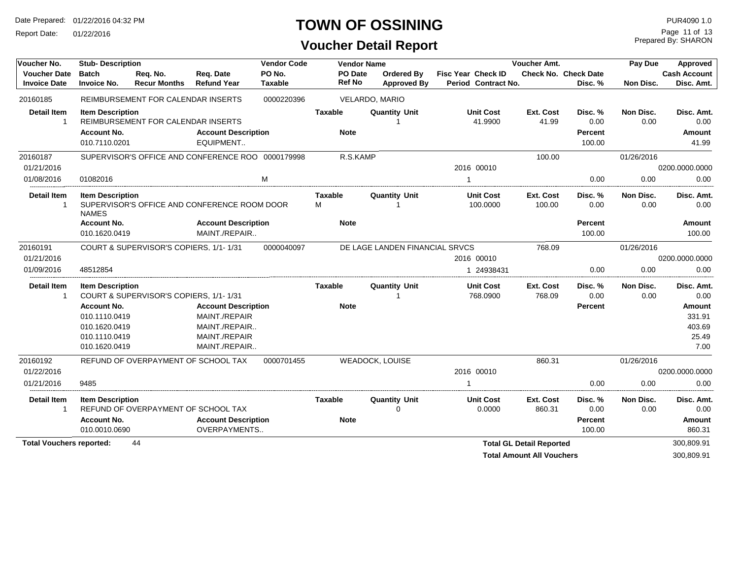Report Date: 01/22/2016

#### **TOWN OF OSSINING**

#### **Voucher Detail Report**

Prepared By: SHARON Page 11 of 13

| Voucher No.                                | <b>Stub-Description</b>                                                                |                                        |                                                                                                | <b>Vendor Code</b>       |                          | <b>Vendor Name</b>                      |                                                  | Voucher Amt.                    |                                        | Pay Due                  | Approved                                    |
|--------------------------------------------|----------------------------------------------------------------------------------------|----------------------------------------|------------------------------------------------------------------------------------------------|--------------------------|--------------------------|-----------------------------------------|--------------------------------------------------|---------------------------------|----------------------------------------|--------------------------|---------------------------------------------|
| <b>Voucher Date</b><br><b>Invoice Date</b> | <b>Batch</b><br><b>Invoice No.</b>                                                     | Reg. No.<br><b>Recur Months</b>        | Reg. Date<br><b>Refund Year</b>                                                                | PO No.<br><b>Taxable</b> | PO Date<br><b>Ref No</b> | <b>Ordered By</b><br><b>Approved By</b> | <b>Fisc Year Check ID</b><br>Period Contract No. |                                 | <b>Check No. Check Date</b><br>Disc. % | Non Disc.                | <b>Cash Account</b><br>Disc. Amt.           |
| 20160185                                   |                                                                                        | REIMBURSEMENT FOR CALENDAR INSERTS     |                                                                                                | 0000220396               |                          | VELARDO, MARIO                          |                                                  |                                 |                                        |                          |                                             |
| <b>Detail Item</b>                         | <b>Item Description</b>                                                                | REIMBURSEMENT FOR CALENDAR INSERTS     |                                                                                                |                          | <b>Taxable</b>           | <b>Quantity Unit</b>                    | <b>Unit Cost</b><br>41.9900                      | Ext. Cost<br>41.99              | Disc. %<br>0.00                        | Non Disc.<br>0.00        | Disc. Amt.<br>0.00                          |
|                                            | <b>Account No.</b>                                                                     |                                        | <b>Account Description</b>                                                                     |                          | <b>Note</b>              |                                         |                                                  |                                 | <b>Percent</b>                         |                          | Amount                                      |
|                                            | 010.7110.0201                                                                          |                                        | EQUIPMENT                                                                                      |                          |                          |                                         |                                                  |                                 | 100.00                                 |                          | 41.99                                       |
| 20160187                                   |                                                                                        |                                        | SUPERVISOR'S OFFICE AND CONFERENCE ROO 0000179998                                              |                          | R.S.KAMP                 |                                         |                                                  | 100.00                          |                                        | 01/26/2016               |                                             |
| 01/21/2016                                 |                                                                                        |                                        |                                                                                                |                          |                          |                                         | 2016 00010                                       |                                 |                                        |                          | 0200.0000.0000                              |
| 01/08/2016                                 | 01082016                                                                               |                                        |                                                                                                | M                        |                          |                                         |                                                  |                                 | 0.00                                   | 0.00                     | 0.00                                        |
| <b>Detail Item</b><br>$\mathbf{1}$         | <b>Item Description</b><br><b>NAMES</b>                                                |                                        | SUPERVISOR'S OFFICE AND CONFERENCE ROOM DOOR                                                   |                          | Taxable<br>М             | <b>Quantity Unit</b>                    | <b>Unit Cost</b><br>100.0000                     | Ext. Cost<br>100.00             | Disc. %<br>0.00                        | Non Disc.<br>0.00        | Disc. Amt.<br>0.00                          |
|                                            | <b>Account No.</b><br>010.1620.0419                                                    |                                        | <b>Account Description</b><br>MAINT./REPAIR                                                    |                          | <b>Note</b>              |                                         |                                                  |                                 | <b>Percent</b><br>100.00               |                          | Amount<br>100.00                            |
| 20160191                                   |                                                                                        | COURT & SUPERVISOR'S COPIERS, 1/1-1/31 |                                                                                                | 0000040097               |                          | DE LAGE LANDEN FINANCIAL SRVCS          |                                                  | 768.09                          |                                        | 01/26/2016               |                                             |
| 01/21/2016                                 |                                                                                        |                                        |                                                                                                |                          |                          |                                         | 2016 00010                                       |                                 |                                        |                          | 0200.0000.0000                              |
| 01/09/2016                                 | 48512854                                                                               |                                        |                                                                                                |                          |                          |                                         | 1 24938431                                       |                                 | 0.00                                   | 0.00                     | 0.00                                        |
| <b>Detail Item</b><br>$\mathbf{1}$         | <b>Item Description</b>                                                                | COURT & SUPERVISOR'S COPIERS, 1/1-1/31 |                                                                                                |                          | Taxable                  | <b>Quantity Unit</b><br>-1              | <b>Unit Cost</b><br>768.0900                     | Ext. Cost<br>768.09             | Disc. %<br>0.00                        | <b>Non Disc.</b><br>0.00 | Disc. Amt.<br>0.00                          |
|                                            | <b>Account No.</b><br>010.1110.0419<br>010.1620.0419<br>010.1110.0419<br>010.1620.0419 |                                        | <b>Account Description</b><br>MAINT./REPAIR<br>MAINT./REPAIR<br>MAINT./REPAIR<br>MAINT./REPAIR |                          | <b>Note</b>              |                                         |                                                  |                                 | <b>Percent</b>                         |                          | Amount<br>331.91<br>403.69<br>25.49<br>7.00 |
| 20160192                                   |                                                                                        |                                        | REFUND OF OVERPAYMENT OF SCHOOL TAX                                                            | 0000701455               |                          | <b>WEADOCK, LOUISE</b>                  |                                                  | 860.31                          |                                        | 01/26/2016               |                                             |
| 01/22/2016                                 |                                                                                        |                                        |                                                                                                |                          |                          |                                         | 2016 00010                                       |                                 |                                        |                          | 0200.0000.0000                              |
| 01/21/2016                                 | 9485                                                                                   |                                        |                                                                                                |                          |                          |                                         |                                                  |                                 | 0.00                                   | 0.00                     | 0.00                                        |
| <b>Detail Item</b>                         | <b>Item Description</b>                                                                | REFUND OF OVERPAYMENT OF SCHOOL TAX    |                                                                                                |                          | <b>Taxable</b>           | <b>Quantity Unit</b><br>$\Omega$        | <b>Unit Cost</b><br>0.0000                       | Ext. Cost<br>860.31             | Disc. %<br>0.00                        | Non Disc.<br>0.00        | Disc. Amt.<br>0.00                          |
|                                            | <b>Account No.</b>                                                                     |                                        | <b>Account Description</b>                                                                     |                          | <b>Note</b>              |                                         |                                                  |                                 | <b>Percent</b>                         |                          | Amount                                      |
|                                            | 010.0010.0690                                                                          |                                        | OVERPAYMENTS                                                                                   |                          |                          |                                         |                                                  |                                 | 100.00                                 |                          | 860.31                                      |
| <b>Total Vouchers reported:</b>            |                                                                                        | 44                                     |                                                                                                |                          |                          |                                         |                                                  | <b>Total GL Detail Reported</b> |                                        |                          | 300,809.91<br>00000000                      |

**Total Amount All Vouchers** 300,809.91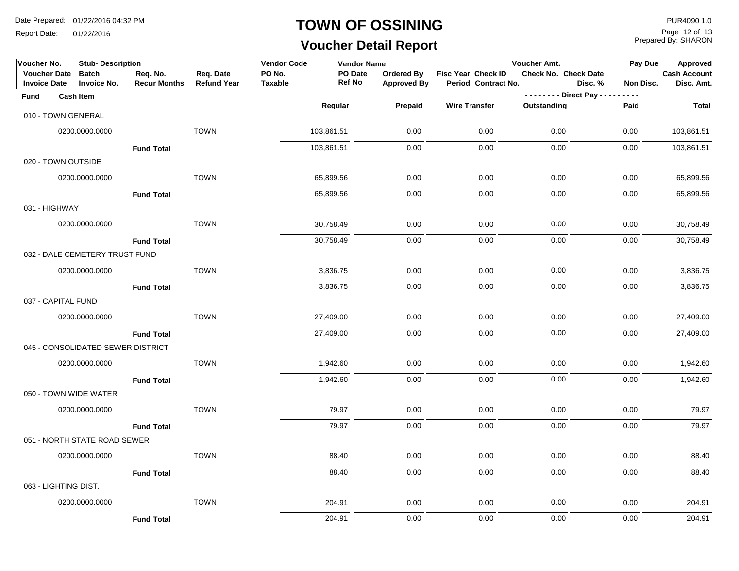Report Date: 01/22/2016

#### **TOWN OF OSSINING**

# **Voucher Detail Report**

Prepared By: SHARON Page 12 of 13

| Voucher No.                                | <b>Stub-Description</b>            |                                 |                                 | <b>Vendor Code</b>       | <b>Vendor Name</b>       |                                  |                                           | Voucher Amt.            |         | Pay Due   | Approved                          |
|--------------------------------------------|------------------------------------|---------------------------------|---------------------------------|--------------------------|--------------------------|----------------------------------|-------------------------------------------|-------------------------|---------|-----------|-----------------------------------|
| <b>Voucher Date</b><br><b>Invoice Date</b> | <b>Batch</b><br><b>Invoice No.</b> | Req. No.<br><b>Recur Months</b> | Req. Date<br><b>Refund Year</b> | PO No.<br><b>Taxable</b> | PO Date<br><b>Ref No</b> | Ordered By<br><b>Approved By</b> | Fisc Year Check ID<br>Period Contract No. | Check No. Check Date    | Disc. % | Non Disc. | <b>Cash Account</b><br>Disc. Amt. |
| <b>Fund</b>                                | <b>Cash Item</b>                   |                                 |                                 |                          |                          |                                  |                                           | -------- Direct Pay --- |         | $- - - -$ |                                   |
|                                            | 010 - TOWN GENERAL                 |                                 |                                 |                          | Regular                  | Prepaid                          | <b>Wire Transfer</b>                      | Outstanding             |         | Paid      | <b>Total</b>                      |
|                                            | 0200.0000.0000                     |                                 | <b>TOWN</b>                     |                          | 103,861.51               | 0.00                             | 0.00                                      | 0.00                    |         | 0.00      | 103,861.51                        |
|                                            |                                    | <b>Fund Total</b>               |                                 |                          | 103,861.51               | 0.00                             | 0.00                                      | 0.00                    |         | 0.00      | 103,861.51                        |
|                                            | 020 - TOWN OUTSIDE                 |                                 |                                 |                          |                          |                                  |                                           |                         |         |           |                                   |
|                                            | 0200.0000.0000                     |                                 | <b>TOWN</b>                     |                          | 65,899.56                | 0.00                             | 0.00                                      | 0.00                    |         | 0.00      | 65,899.56                         |
|                                            |                                    | <b>Fund Total</b>               |                                 |                          | 65,899.56                | 0.00                             | 0.00                                      | 0.00                    |         | 0.00      | 65,899.56                         |
| 031 - HIGHWAY                              |                                    |                                 |                                 |                          |                          |                                  |                                           |                         |         |           |                                   |
|                                            | 0200.0000.0000                     |                                 | <b>TOWN</b>                     |                          | 30,758.49                | 0.00                             | 0.00                                      | 0.00                    |         | 0.00      | 30,758.49                         |
|                                            |                                    | <b>Fund Total</b>               |                                 |                          | 30,758.49                | 0.00                             | 0.00                                      | 0.00                    |         | 0.00      | 30,758.49                         |
|                                            | 032 - DALE CEMETERY TRUST FUND     |                                 |                                 |                          |                          |                                  |                                           |                         |         |           |                                   |
|                                            | 0200.0000.0000                     |                                 | <b>TOWN</b>                     |                          | 3,836.75                 | 0.00                             | 0.00                                      | 0.00                    |         | 0.00      | 3,836.75                          |
|                                            |                                    | <b>Fund Total</b>               |                                 |                          | 3,836.75                 | 0.00                             | 0.00                                      | 0.00                    |         | 0.00      | 3,836.75                          |
| 037 - CAPITAL FUND                         |                                    |                                 |                                 |                          |                          |                                  |                                           |                         |         |           |                                   |
|                                            | 0200.0000.0000                     |                                 | <b>TOWN</b>                     |                          | 27,409.00                | 0.00                             | 0.00                                      | 0.00                    |         | 0.00      | 27,409.00                         |
|                                            |                                    | <b>Fund Total</b>               |                                 |                          | 27,409.00                | 0.00                             | 0.00                                      | 0.00                    |         | 0.00      | 27,409.00                         |
|                                            | 045 - CONSOLIDATED SEWER DISTRICT  |                                 |                                 |                          |                          |                                  |                                           |                         |         |           |                                   |
|                                            | 0200.0000.0000                     |                                 | <b>TOWN</b>                     |                          | 1,942.60                 | 0.00                             | 0.00                                      | 0.00                    |         | 0.00      | 1,942.60                          |
|                                            |                                    | <b>Fund Total</b>               |                                 |                          | 1,942.60                 | 0.00                             | 0.00                                      | 0.00                    |         | 0.00      | 1,942.60                          |
|                                            | 050 - TOWN WIDE WATER              |                                 |                                 |                          |                          |                                  |                                           |                         |         |           |                                   |
|                                            | 0200.0000.0000                     |                                 | <b>TOWN</b>                     |                          | 79.97                    | 0.00                             | 0.00                                      | 0.00                    |         | 0.00      | 79.97                             |
|                                            |                                    | <b>Fund Total</b>               |                                 |                          | 79.97                    | 0.00                             | 0.00                                      | 0.00                    |         | 0.00      | 79.97                             |
|                                            | 051 - NORTH STATE ROAD SEWER       |                                 |                                 |                          |                          |                                  |                                           |                         |         |           |                                   |
|                                            | 0200.0000.0000                     |                                 | <b>TOWN</b>                     |                          | 88.40                    | 0.00                             | 0.00                                      | 0.00                    |         | 0.00      | 88.40                             |
|                                            |                                    | <b>Fund Total</b>               |                                 |                          | 88.40                    | 0.00                             | 0.00                                      | 0.00                    |         | 0.00      | 88.40                             |
| 063 - LIGHTING DIST.                       |                                    |                                 |                                 |                          |                          |                                  |                                           |                         |         |           |                                   |
|                                            | 0200.0000.0000                     |                                 | <b>TOWN</b>                     |                          | 204.91                   | 0.00                             | 0.00                                      | 0.00                    |         | 0.00      | 204.91                            |
|                                            |                                    | <b>Fund Total</b>               |                                 |                          | 204.91                   | 0.00                             | 0.00                                      | 0.00                    |         | 0.00      | 204.91                            |